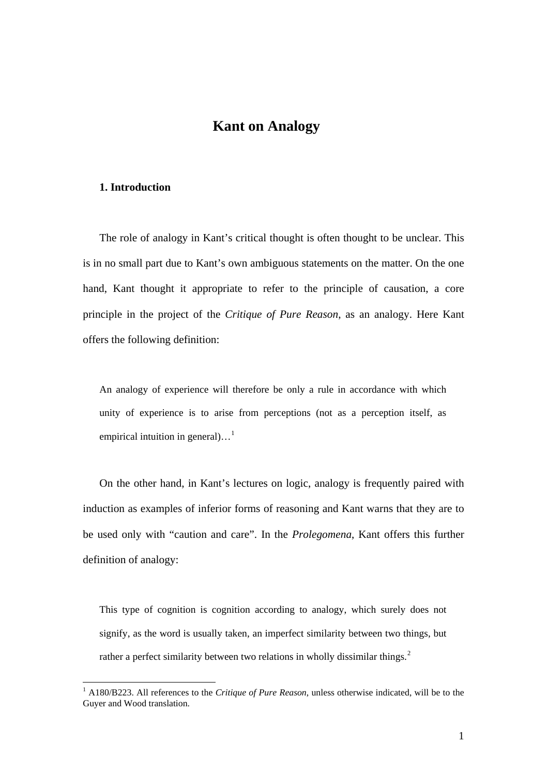# **Kant on Analogy**

### **1. Introduction**

 $\overline{a}$ 

The role of analogy in Kant's critical thought is often thought to be unclear. This is in no small part due to Kant's own ambiguous statements on the matter. On the one hand, Kant thought it appropriate to refer to the principle of causation, a core principle in the project of the *Critique of Pure Reason*, as an analogy. Here Kant offers the following definition:

An analogy of experience will therefore be only a rule in accordance with which unity of experience is to arise from perceptions (not as a perception itself, as empirical intuition in general)...<sup>[1](#page-0-0)</sup>

<span id="page-0-1"></span>On the other hand, in Kant's lectures on logic, analogy is frequently paired with induction as examples of inferior forms of reasoning and Kant warns that they are to be used only with "caution and care". In the *Prolegomena*, Kant offers this further definition of analogy:

This type of cognition is cognition according to analogy, which surely does not signify, as the word is usually taken, an imperfect similarity between two things, but rather a perfect similarity between two relations in wholly dissimilar things.<sup>[2](#page-0-1)</sup>

<span id="page-0-0"></span><sup>&</sup>lt;sup>1</sup> A180/B223. All references to the *Critique of Pure Reason*, unless otherwise indicated, will be to the Guyer and Wood translation.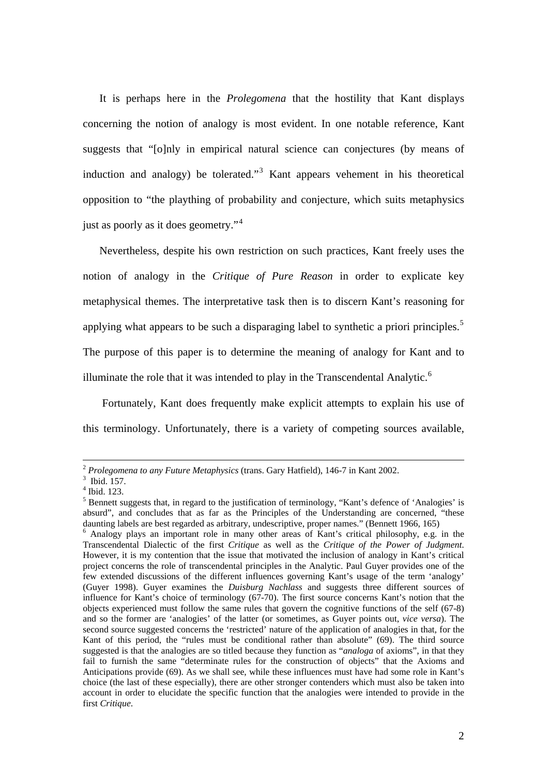It is perhaps here in the *Prolegomena* that the hostility that Kant displays concerning the notion of analogy is most evident. In one notable reference, Kant suggests that "[o]nly in empirical natural science can conjectures (by means of induction and analogy) be tolerated.<sup>[3](#page-1-0)</sup> Kant appears vehement in his theoretical opposition to "the plaything of probability and conjecture, which suits metaphysics just as poorly as it does geometry."[4](#page-1-1)

Nevertheless, despite his own restriction on such practices, Kant freely uses the notion of analogy in the *Critique of Pure Reason* in order to explicate key metaphysical themes. The interpretative task then is to discern Kant's reasoning for applying what appears to be such a disparaging label to synthetic a priori principles.<sup>[5](#page-1-2)</sup> The purpose of this paper is to determine the meaning of analogy for Kant and to illuminate the role that it was intended to play in the Transcendental Analytic.<sup>[6](#page-1-3)</sup>

 Fortunately, Kant does frequently make explicit attempts to explain his use of this terminology. Unfortunately, there is a variety of competing sources available,

<span id="page-1-0"></span> $^2$  *Prolegomena to any Future Metaphysics* (trans. Gary Hatfield), 146-7 in Kant 2002.  $^3$  Ibid. 157.

 $<sup>4</sup>$  Ibid. 123.</sup>

<span id="page-1-2"></span><span id="page-1-1"></span><sup>&</sup>lt;sup>5</sup> Bennett suggests that, in regard to the justification of terminology, "Kant's defence of 'Analogies' is absurd", and concludes that as far as the Principles of the Understanding are concerned, "these daunting labels are best regarded as arbitrary, undescriptive, proper names." (Bennett 1966, 165)

<span id="page-1-3"></span><sup>&</sup>lt;sup>6</sup> Analogy plays an important role in many other areas of Kant's critical philosophy, e.g. in the Transcendental Dialectic of the first *Critique* as well as the *Critique of the Power of Judgment*. However, it is my contention that the issue that motivated the inclusion of analogy in Kant's critical project concerns the role of transcendental principles in the Analytic. Paul Guyer provides one of the few extended discussions of the different influences governing Kant's usage of the term 'analogy' (Guyer 1998). Guyer examines the *Duisburg Nachlass* and suggests three different sources of influence for Kant's choice of terminology (67-70). The first source concerns Kant's notion that the objects experienced must follow the same rules that govern the cognitive functions of the self (67-8) and so the former are 'analogies' of the latter (or sometimes, as Guyer points out, *vice versa*). The second source suggested concerns the 'restricted' nature of the application of analogies in that, for the Kant of this period, the "rules must be conditional rather than absolute" (69). The third source suggested is that the analogies are so titled because they function as "*analoga* of axioms", in that they fail to furnish the same "determinate rules for the construction of objects" that the Axioms and Anticipations provide (69). As we shall see, while these influences must have had some role in Kant's choice (the last of these especially), there are other stronger contenders which must also be taken into account in order to elucidate the specific function that the analogies were intended to provide in the first *Critique*.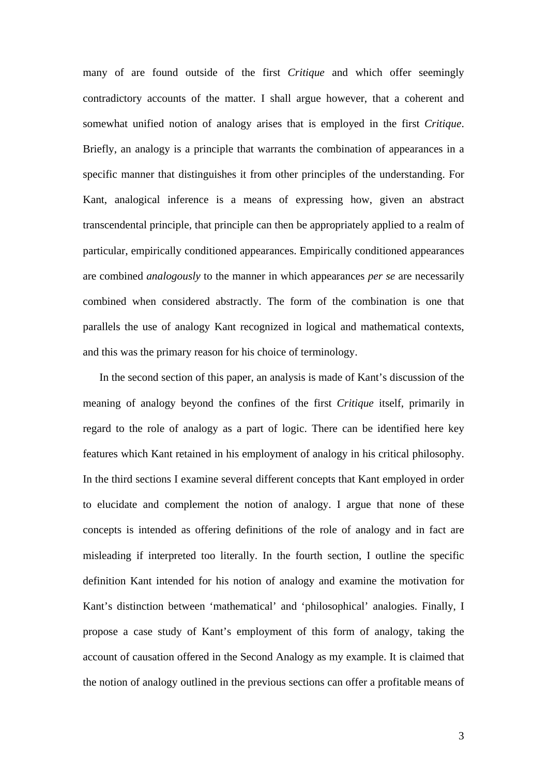many of are found outside of the first *Critique* and which offer seemingly contradictory accounts of the matter. I shall argue however, that a coherent and somewhat unified notion of analogy arises that is employed in the first *Critique*. Briefly, an analogy is a principle that warrants the combination of appearances in a specific manner that distinguishes it from other principles of the understanding. For Kant, analogical inference is a means of expressing how, given an abstract transcendental principle, that principle can then be appropriately applied to a realm of particular, empirically conditioned appearances. Empirically conditioned appearances are combined *analogously* to the manner in which appearances *per se* are necessarily combined when considered abstractly. The form of the combination is one that parallels the use of analogy Kant recognized in logical and mathematical contexts, and this was the primary reason for his choice of terminology.

In the second section of this paper, an analysis is made of Kant's discussion of the meaning of analogy beyond the confines of the first *Critique* itself, primarily in regard to the role of analogy as a part of logic. There can be identified here key features which Kant retained in his employment of analogy in his critical philosophy. In the third sections I examine several different concepts that Kant employed in order to elucidate and complement the notion of analogy. I argue that none of these concepts is intended as offering definitions of the role of analogy and in fact are misleading if interpreted too literally. In the fourth section, I outline the specific definition Kant intended for his notion of analogy and examine the motivation for Kant's distinction between 'mathematical' and 'philosophical' analogies. Finally, I propose a case study of Kant's employment of this form of analogy, taking the account of causation offered in the Second Analogy as my example. It is claimed that the notion of analogy outlined in the previous sections can offer a profitable means of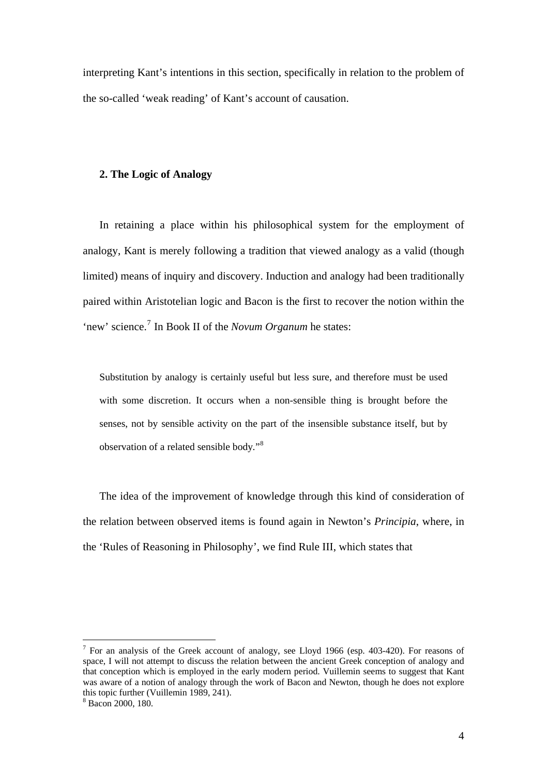interpreting Kant's intentions in this section, specifically in relation to the problem of the so-called 'weak reading' of Kant's account of causation.

#### **2. The Logic of Analogy**

In retaining a place within his philosophical system for the employment of analogy, Kant is merely following a tradition that viewed analogy as a valid (though limited) means of inquiry and discovery. Induction and analogy had been traditionally paired within Aristotelian logic and Bacon is the first to recover the notion within the 'new' science.<sup>[7](#page-3-0)</sup> In Book II of the *Novum Organum* he states:

Substitution by analogy is certainly useful but less sure, and therefore must be used with some discretion. It occurs when a non-sensible thing is brought before the senses, not by sensible activity on the part of the insensible substance itself, but by observation of a related sensible body*.*"[8](#page-3-1)

The idea of the improvement of knowledge through this kind of consideration of the relation between observed items is found again in Newton's *Principia*, where, in the 'Rules of Reasoning in Philosophy', we find Rule III, which states that

<span id="page-3-0"></span> $<sup>7</sup>$  For an analysis of the Greek account of analogy, see Lloyd 1966 (esp. 403-420). For reasons of</sup> space, I will not attempt to discuss the relation between the ancient Greek conception of analogy and that conception which is employed in the early modern period. Vuillemin seems to suggest that Kant was aware of a notion of analogy through the work of Bacon and Newton, though he does not explore this topic further (Vuillemin 1989, 241).

<span id="page-3-1"></span><sup>8</sup> Bacon 2000, 180.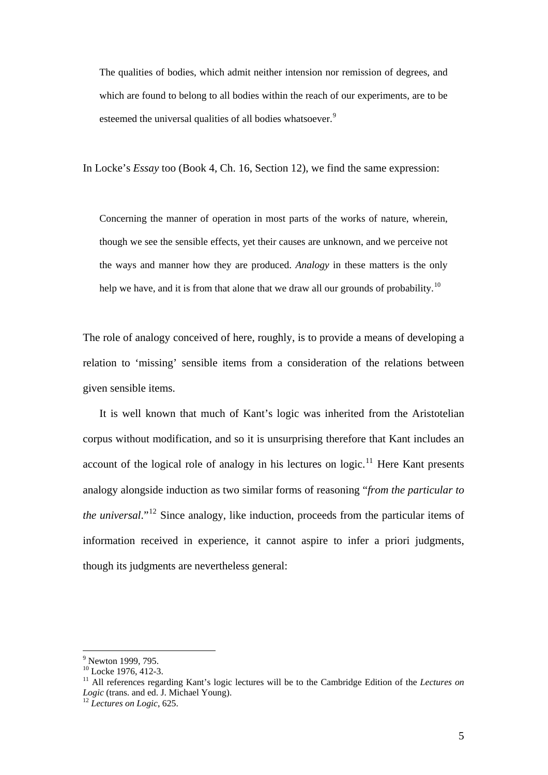The qualities of bodies, which admit neither intension nor remission of degrees, and which are found to belong to all bodies within the reach of our experiments, are to be esteemed the universal qualities of all bodies whatsoever.<sup>[9](#page-4-0)</sup>

In Locke's *Essay* too (Book 4, Ch. 16, Section 12), we find the same expression:

Concerning the manner of operation in most parts of the works of nature, wherein, though we see the sensible effects, yet their causes are unknown, and we perceive not the ways and manner how they are produced. *Analogy* in these matters is the only help we have, and it is from that alone that we draw all our grounds of probability.<sup>[10](#page-4-1)</sup>

The role of analogy conceived of here, roughly, is to provide a means of developing a relation to 'missing' sensible items from a consideration of the relations between given sensible items.

It is well known that much of Kant's logic was inherited from the Aristotelian corpus without modification, and so it is unsurprising therefore that Kant includes an account of the logical role of analogy in his lectures on logic.<sup>[11](#page-4-2)</sup> Here Kant presents analogy alongside induction as two similar forms of reasoning "*from the particular to the universal*."[12](#page-4-3) Since analogy, like induction, proceeds from the particular items of information received in experience, it cannot aspire to infer a priori judgments, though its judgments are nevertheless general:

<sup>&</sup>lt;sup>9</sup> Newton 1999, 795.

<span id="page-4-1"></span><span id="page-4-0"></span><sup>&</sup>lt;sup>10</sup> Locke 1976, 412-3.

<span id="page-4-2"></span><sup>11</sup> All references regarding Kant's logic lectures will be to the Cambridge Edition of the *Lectures on Logic* (trans. and ed. J. Michael Young). 12 *Lectures on Logic*, 625.

<span id="page-4-3"></span>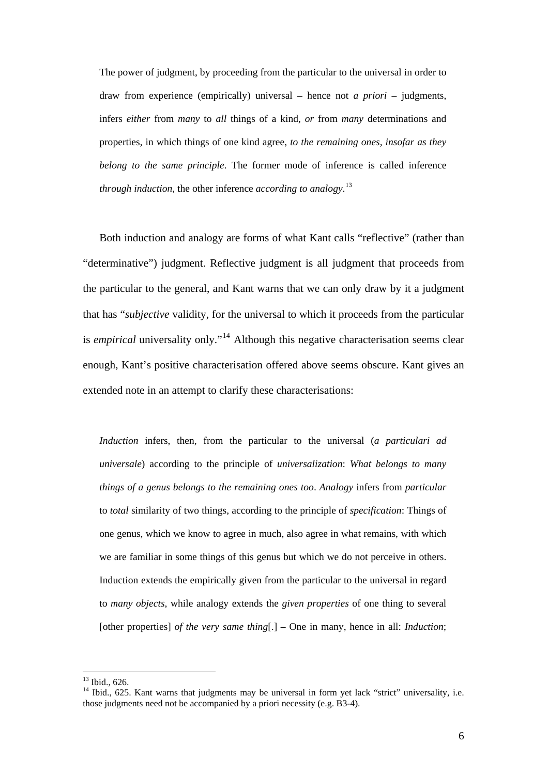The power of judgment, by proceeding from the particular to the universal in order to draw from experience (empirically) universal – hence not *a priori* – judgments, infers *either* from *many* to *all* things of a kind, *or* from *many* determinations and properties, in which things of one kind agree, *to the remaining ones, insofar as they belong to the same principle*. The former mode of inference is called inference *through induction*, the other inference *according to analogy*. [13](#page-5-0)

Both induction and analogy are forms of what Kant calls "reflective" (rather than "determinative") judgment. Reflective judgment is all judgment that proceeds from the particular to the general, and Kant warns that we can only draw by it a judgment that has "*subjective* validity, for the universal to which it proceeds from the particular is *empirical* universality only."[14](#page-5-1) Although this negative characterisation seems clear enough, Kant's positive characterisation offered above seems obscure. Kant gives an extended note in an attempt to clarify these characterisations:

*Induction* infers, then, from the particular to the universal (*a particulari ad universale*) according to the principle of *universalization*: *What belongs to many things of a genus belongs to the remaining ones too*. *Analogy* infers from *particular* to *total* similarity of two things, according to the principle of *specification*: Things of one genus, which we know to agree in much, also agree in what remains, with which we are familiar in some things of this genus but which we do not perceive in others. Induction extends the empirically given from the particular to the universal in regard to *many objects*, while analogy extends the *given properties* of one thing to several [other properties] *of the very same thing*[.] – One in many, hence in all: *Induction*;

<span id="page-5-0"></span><sup>&</sup>lt;sup>13</sup> Ibid., 626.

<span id="page-5-1"></span><sup>&</sup>lt;sup>14</sup> Ibid., 625. Kant warns that judgments may be universal in form yet lack "strict" universality, i.e. those judgments need not be accompanied by a priori necessity (e.g. B3-4).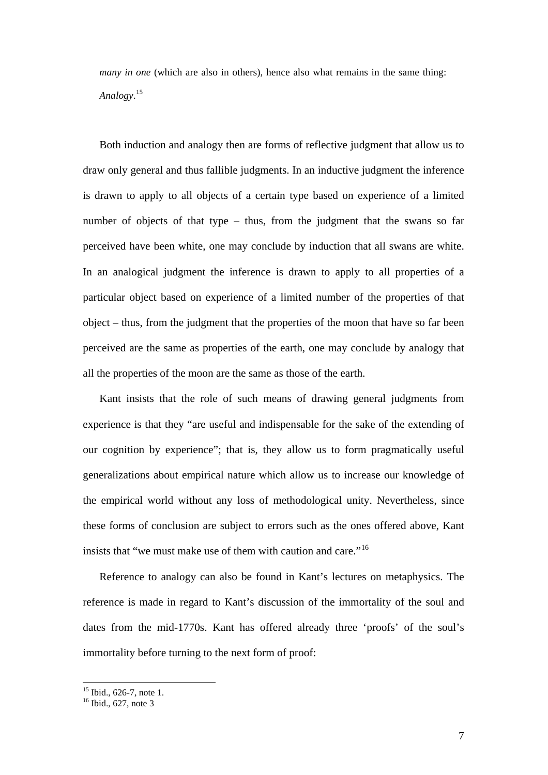*many in one* (which are also in others), hence also what remains in the same thing: *Analogy*. [15](#page-6-0)

Both induction and analogy then are forms of reflective judgment that allow us to draw only general and thus fallible judgments. In an inductive judgment the inference is drawn to apply to all objects of a certain type based on experience of a limited number of objects of that type – thus, from the judgment that the swans so far perceived have been white, one may conclude by induction that all swans are white. In an analogical judgment the inference is drawn to apply to all properties of a particular object based on experience of a limited number of the properties of that object – thus, from the judgment that the properties of the moon that have so far been perceived are the same as properties of the earth, one may conclude by analogy that all the properties of the moon are the same as those of the earth.

Kant insists that the role of such means of drawing general judgments from experience is that they "are useful and indispensable for the sake of the extending of our cognition by experience"; that is, they allow us to form pragmatically useful generalizations about empirical nature which allow us to increase our knowledge of the empirical world without any loss of methodological unity. Nevertheless, since these forms of conclusion are subject to errors such as the ones offered above, Kant insists that "we must make use of them with caution and care."<sup>[16](#page-6-1)</sup>

Reference to analogy can also be found in Kant's lectures on metaphysics. The reference is made in regard to Kant's discussion of the immortality of the soul and dates from the mid-1770s. Kant has offered already three 'proofs' of the soul's immortality before turning to the next form of proof:

 $15$  Ibid., 626-7, note 1.

<span id="page-6-1"></span><span id="page-6-0"></span><sup>&</sup>lt;sup>16</sup> Ibid., 627, note 3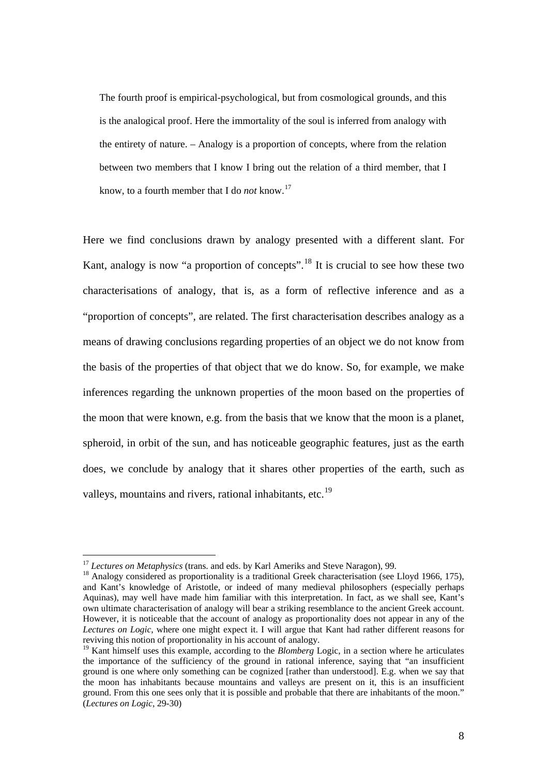The fourth proof is empirical-psychological, but from cosmological grounds, and this is the analogical proof. Here the immortality of the soul is inferred from analogy with the entirety of nature. – Analogy is a proportion of concepts, where from the relation between two members that I know I bring out the relation of a third member, that I know, to a fourth member that I do *not* know.[17](#page-7-0)

Here we find conclusions drawn by analogy presented with a different slant. For Kant, analogy is now "a proportion of concepts".<sup>[18](#page-7-1)</sup> It is crucial to see how these two characterisations of analogy, that is, as a form of reflective inference and as a "proportion of concepts", are related. The first characterisation describes analogy as a means of drawing conclusions regarding properties of an object we do not know from the basis of the properties of that object that we do know. So, for example, we make inferences regarding the unknown properties of the moon based on the properties of the moon that were known, e.g. from the basis that we know that the moon is a planet, spheroid, in orbit of the sun, and has noticeable geographic features, just as the earth does, we conclude by analogy that it shares other properties of the earth, such as valleys, mountains and rivers, rational inhabitants, etc.<sup>[19](#page-7-2)</sup>

<sup>&</sup>lt;sup>17</sup> Lectures on Metaphysics (trans. and eds. by Karl Ameriks and Steve Naragon), 99.

<span id="page-7-1"></span><span id="page-7-0"></span><sup>&</sup>lt;sup>18</sup> Analogy considered as proportionality is a traditional Greek characterisation (see Lloyd 1966, 175), and Kant's knowledge of Aristotle, or indeed of many medieval philosophers (especially perhaps Aquinas), may well have made him familiar with this interpretation. In fact, as we shall see, Kant's own ultimate characterisation of analogy will bear a striking resemblance to the ancient Greek account. However, it is noticeable that the account of analogy as proportionality does not appear in any of the *Lectures on Logic*, where one might expect it. I will argue that Kant had rather different reasons for reviving this notion of proportionality in his account of analogy.

<span id="page-7-2"></span><sup>&</sup>lt;sup>19</sup> Kant himself uses this example, according to the *Blomberg* Logic, in a section where he articulates the importance of the sufficiency of the ground in rational inference, saying that "an insufficient ground is one where only something can be cognized [rather than understood]. E.g. when we say that the moon has inhabitants because mountains and valleys are present on it, this is an insufficient ground. From this one sees only that it is possible and probable that there are inhabitants of the moon." (*Lectures on Logic*, 29-30)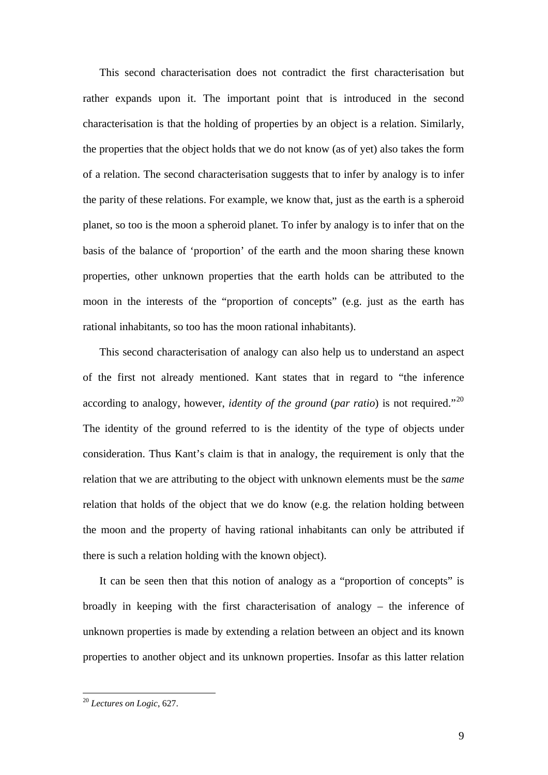This second characterisation does not contradict the first characterisation but rather expands upon it. The important point that is introduced in the second characterisation is that the holding of properties by an object is a relation. Similarly, the properties that the object holds that we do not know (as of yet) also takes the form of a relation. The second characterisation suggests that to infer by analogy is to infer the parity of these relations. For example, we know that, just as the earth is a spheroid planet, so too is the moon a spheroid planet. To infer by analogy is to infer that on the basis of the balance of 'proportion' of the earth and the moon sharing these known properties, other unknown properties that the earth holds can be attributed to the moon in the interests of the "proportion of concepts" (e.g. just as the earth has rational inhabitants, so too has the moon rational inhabitants).

This second characterisation of analogy can also help us to understand an aspect of the first not already mentioned. Kant states that in regard to "the inference according to analogy, however, *identity of the ground* (*par ratio*) is not required."[20](#page-8-0) The identity of the ground referred to is the identity of the type of objects under consideration. Thus Kant's claim is that in analogy, the requirement is only that the relation that we are attributing to the object with unknown elements must be the *same* relation that holds of the object that we do know (e.g. the relation holding between the moon and the property of having rational inhabitants can only be attributed if there is such a relation holding with the known object).

It can be seen then that this notion of analogy as a "proportion of concepts" is broadly in keeping with the first characterisation of analogy – the inference of unknown properties is made by extending a relation between an object and its known properties to another object and its unknown properties. Insofar as this latter relation

<span id="page-8-0"></span><sup>20</sup> *Lectures on Logic*, 627.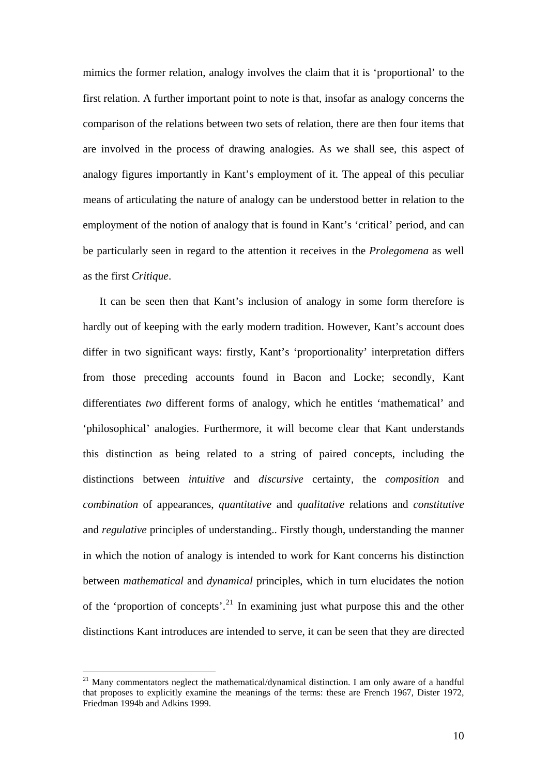mimics the former relation, analogy involves the claim that it is 'proportional' to the first relation. A further important point to note is that, insofar as analogy concerns the comparison of the relations between two sets of relation, there are then four items that are involved in the process of drawing analogies. As we shall see, this aspect of analogy figures importantly in Kant's employment of it. The appeal of this peculiar means of articulating the nature of analogy can be understood better in relation to the employment of the notion of analogy that is found in Kant's 'critical' period, and can be particularly seen in regard to the attention it receives in the *Prolegomena* as well as the first *Critique*.

It can be seen then that Kant's inclusion of analogy in some form therefore is hardly out of keeping with the early modern tradition. However, Kant's account does differ in two significant ways: firstly, Kant's 'proportionality' interpretation differs from those preceding accounts found in Bacon and Locke; secondly, Kant differentiates *two* different forms of analogy, which he entitles 'mathematical' and 'philosophical' analogies. Furthermore, it will become clear that Kant understands this distinction as being related to a string of paired concepts, including the distinctions between *intuitive* and *discursive* certainty, the *composition* and *combination* of appearances, *quantitative* and *qualitative* relations and *constitutive* and *regulative* principles of understanding.. Firstly though, understanding the manner in which the notion of analogy is intended to work for Kant concerns his distinction between *mathematical* and *dynamical* principles, which in turn elucidates the notion of the 'proportion of concepts'.<sup>[21](#page-9-0)</sup> In examining just what purpose this and the other distinctions Kant introduces are intended to serve, it can be seen that they are directed

<span id="page-9-0"></span> $21$  Many commentators neglect the mathematical/dynamical distinction. I am only aware of a handful that proposes to explicitly examine the meanings of the terms: these are French 1967, Dister 1972, Friedman 1994b and Adkins 1999.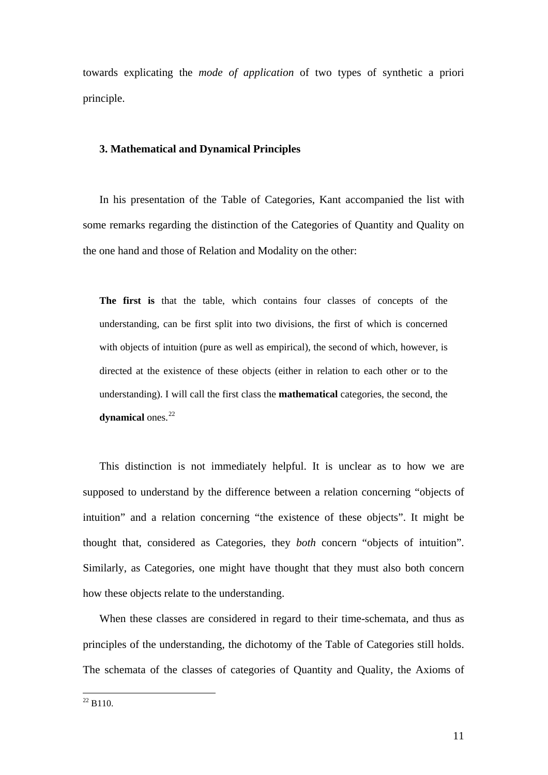towards explicating the *mode of application* of two types of synthetic a priori principle.

### **3. Mathematical and Dynamical Principles**

In his presentation of the Table of Categories, Kant accompanied the list with some remarks regarding the distinction of the Categories of Quantity and Quality on the one hand and those of Relation and Modality on the other:

**The first is** that the table, which contains four classes of concepts of the understanding, can be first split into two divisions, the first of which is concerned with objects of intuition (pure as well as empirical), the second of which, however, is directed at the existence of these objects (either in relation to each other or to the understanding). I will call the first class the **mathematical** categories, the second, the dynamical ones.<sup>[22](#page-10-0)</sup>

This distinction is not immediately helpful. It is unclear as to how we are supposed to understand by the difference between a relation concerning "objects of intuition" and a relation concerning "the existence of these objects". It might be thought that, considered as Categories, they *both* concern "objects of intuition". Similarly, as Categories, one might have thought that they must also both concern how these objects relate to the understanding.

When these classes are considered in regard to their time-schemata, and thus as principles of the understanding, the dichotomy of the Table of Categories still holds. The schemata of the classes of categories of Quantity and Quality, the Axioms of

<span id="page-10-0"></span> $^{22}$  B110.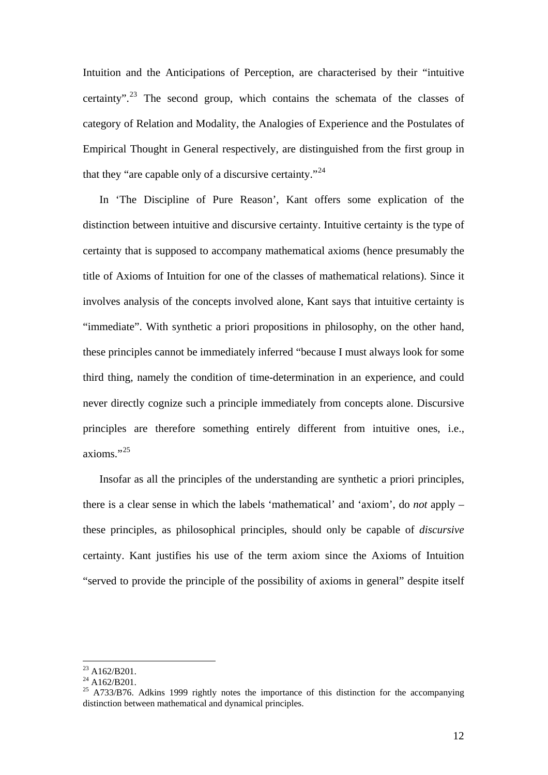Intuition and the Anticipations of Perception, are characterised by their "intuitive certainty".<sup>[23](#page-11-0)</sup> The second group, which contains the schemata of the classes of category of Relation and Modality, the Analogies of Experience and the Postulates of Empirical Thought in General respectively, are distinguished from the first group in that they "are capable only of a discursive certainty."<sup>[24](#page-11-1)</sup>

In 'The Discipline of Pure Reason', Kant offers some explication of the distinction between intuitive and discursive certainty. Intuitive certainty is the type of certainty that is supposed to accompany mathematical axioms (hence presumably the title of Axioms of Intuition for one of the classes of mathematical relations). Since it involves analysis of the concepts involved alone, Kant says that intuitive certainty is "immediate". With synthetic a priori propositions in philosophy, on the other hand, these principles cannot be immediately inferred "because I must always look for some third thing, namely the condition of time-determination in an experience, and could never directly cognize such a principle immediately from concepts alone. Discursive principles are therefore something entirely different from intuitive ones, i.e., axioms." $^{25}$  $^{25}$  $^{25}$ 

Insofar as all the principles of the understanding are synthetic a priori principles, there is a clear sense in which the labels 'mathematical' and 'axiom', do *not* apply – these principles, as philosophical principles, should only be capable of *discursive* certainty. Kant justifies his use of the term axiom since the Axioms of Intuition "served to provide the principle of the possibility of axioms in general" despite itself

 $^{23}$  A162/B201.

<span id="page-11-1"></span><span id="page-11-0"></span> $^{24}$  A162/B201.

<span id="page-11-2"></span><sup>&</sup>lt;sup>25</sup> A733/B76. Adkins 1999 rightly notes the importance of this distinction for the accompanying distinction between mathematical and dynamical principles.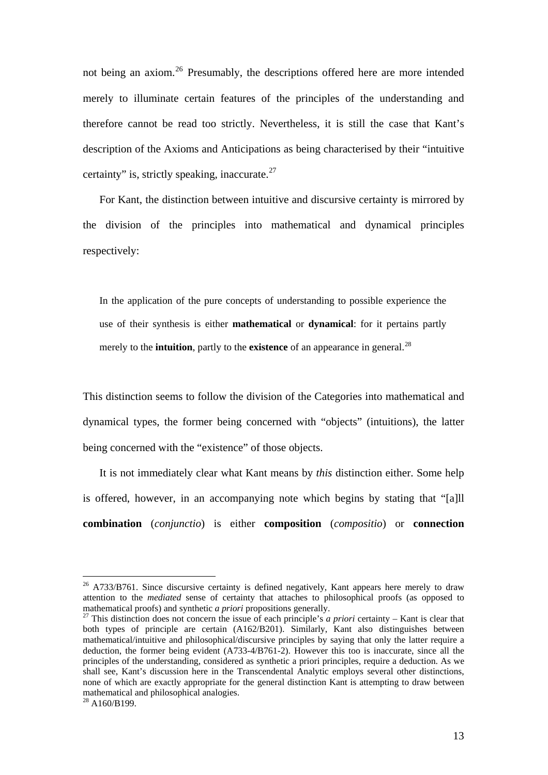not being an axiom.[26](#page-12-0) Presumably, the descriptions offered here are more intended merely to illuminate certain features of the principles of the understanding and therefore cannot be read too strictly. Nevertheless, it is still the case that Kant's description of the Axioms and Anticipations as being characterised by their "intuitive certainty" is, strictly speaking, inaccurate. $27$ 

For Kant, the distinction between intuitive and discursive certainty is mirrored by the division of the principles into mathematical and dynamical principles respectively:

In the application of the pure concepts of understanding to possible experience the use of their synthesis is either **mathematical** or **dynamical**: for it pertains partly merely to the **intuition**, partly to the **existence** of an appearance in general.<sup>[28](#page-12-2)</sup>

This distinction seems to follow the division of the Categories into mathematical and dynamical types, the former being concerned with "objects" (intuitions), the latter being concerned with the "existence" of those objects.

It is not immediately clear what Kant means by *this* distinction either. Some help is offered, however, in an accompanying note which begins by stating that "[a]ll **combination** (*conjunctio*) is either **composition** (*compositio*) or **connection**

<span id="page-12-0"></span> $26$  A733/B761. Since discursive certainty is defined negatively, Kant appears here merely to draw attention to the *mediated* sense of certainty that attaches to philosophical proofs (as opposed to mathematical proofs) and synthetic *a priori* propositions generally. 27 This distinction does not concern the issue of each principle's *a priori* certainty – Kant is clear that

<span id="page-12-1"></span>both types of principle are certain (A162/B201). Similarly, Kant also distinguishes between mathematical/intuitive and philosophical/discursive principles by saying that only the latter require a deduction, the former being evident (A733-4/B761-2). However this too is inaccurate, since all the principles of the understanding, considered as synthetic a priori principles, require a deduction. As we shall see, Kant's discussion here in the Transcendental Analytic employs several other distinctions, none of which are exactly appropriate for the general distinction Kant is attempting to draw between mathematical and philosophical analogies.

<span id="page-12-2"></span> $28$  A160/B199.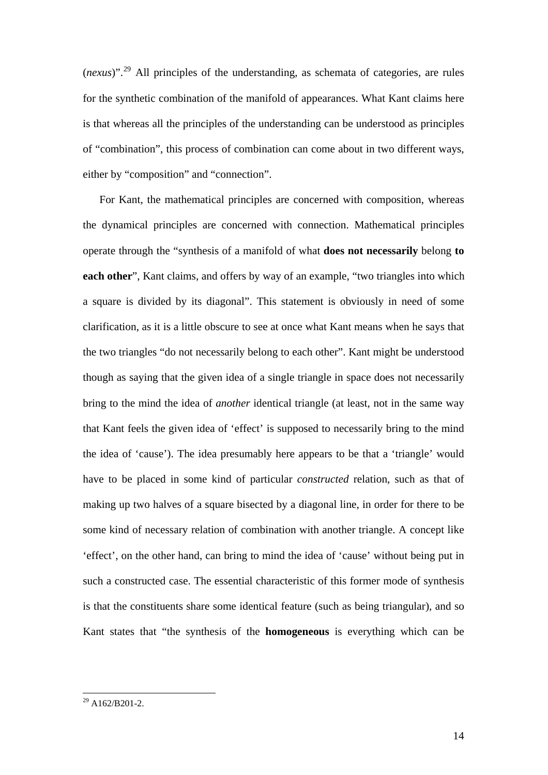(*nexus*)".[29](#page-13-0) All principles of the understanding, as schemata of categories, are rules for the synthetic combination of the manifold of appearances. What Kant claims here is that whereas all the principles of the understanding can be understood as principles of "combination", this process of combination can come about in two different ways, either by "composition" and "connection".

For Kant, the mathematical principles are concerned with composition, whereas the dynamical principles are concerned with connection. Mathematical principles operate through the "synthesis of a manifold of what **does not necessarily** belong **to each other**", Kant claims, and offers by way of an example, "two triangles into which a square is divided by its diagonal". This statement is obviously in need of some clarification, as it is a little obscure to see at once what Kant means when he says that the two triangles "do not necessarily belong to each other". Kant might be understood though as saying that the given idea of a single triangle in space does not necessarily bring to the mind the idea of *another* identical triangle (at least, not in the same way that Kant feels the given idea of 'effect' is supposed to necessarily bring to the mind the idea of 'cause'). The idea presumably here appears to be that a 'triangle' would have to be placed in some kind of particular *constructed* relation, such as that of making up two halves of a square bisected by a diagonal line, in order for there to be some kind of necessary relation of combination with another triangle. A concept like 'effect', on the other hand, can bring to mind the idea of 'cause' without being put in such a constructed case. The essential characteristic of this former mode of synthesis is that the constituents share some identical feature (such as being triangular), and so Kant states that "the synthesis of the **homogeneous** is everything which can be

<span id="page-13-0"></span> $^{29}$  A162/B201-2.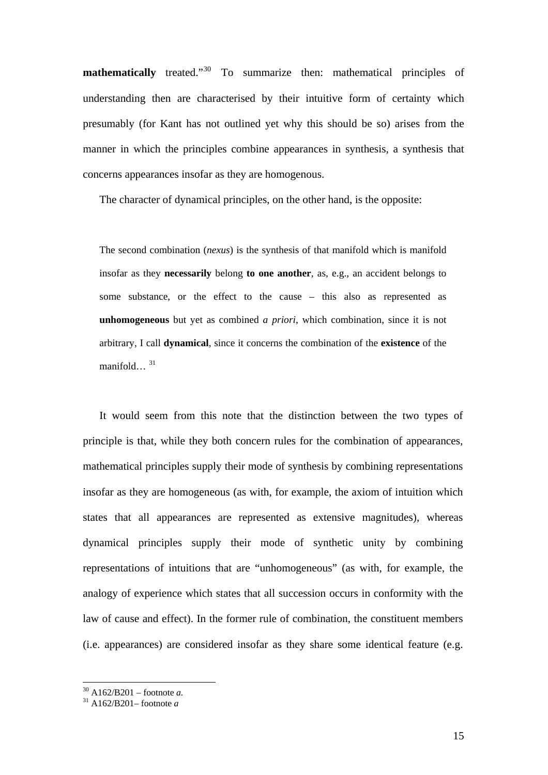**mathematically** treated."<sup>[30](#page-14-0)</sup> To summarize then: mathematical principles of understanding then are characterised by their intuitive form of certainty which presumably (for Kant has not outlined yet why this should be so) arises from the manner in which the principles combine appearances in synthesis, a synthesis that concerns appearances insofar as they are homogenous.

The character of dynamical principles, on the other hand, is the opposite:

The second combination (*nexus*) is the synthesis of that manifold which is manifold insofar as they **necessarily** belong **to one another**, as, e.g., an accident belongs to some substance, or the effect to the cause – this also as represented as **unhomogeneous** but yet as combined *a priori*, which combination, since it is not arbitrary, I call **dynamical**, since it concerns the combination of the **existence** of the manifold...<sup>[31](#page-14-1)</sup>

It would seem from this note that the distinction between the two types of principle is that, while they both concern rules for the combination of appearances, mathematical principles supply their mode of synthesis by combining representations insofar as they are homogeneous (as with, for example, the axiom of intuition which states that all appearances are represented as extensive magnitudes), whereas dynamical principles supply their mode of synthetic unity by combining representations of intuitions that are "unhomogeneous" (as with, for example, the analogy of experience which states that all succession occurs in conformity with the law of cause and effect). In the former rule of combination, the constituent members (i.e. appearances) are considered insofar as they share some identical feature (e.g.

<span id="page-14-0"></span><sup>30</sup> A162/B201 – footnote *a.* 31 A162/B201– footnote *<sup>a</sup>*

<span id="page-14-1"></span>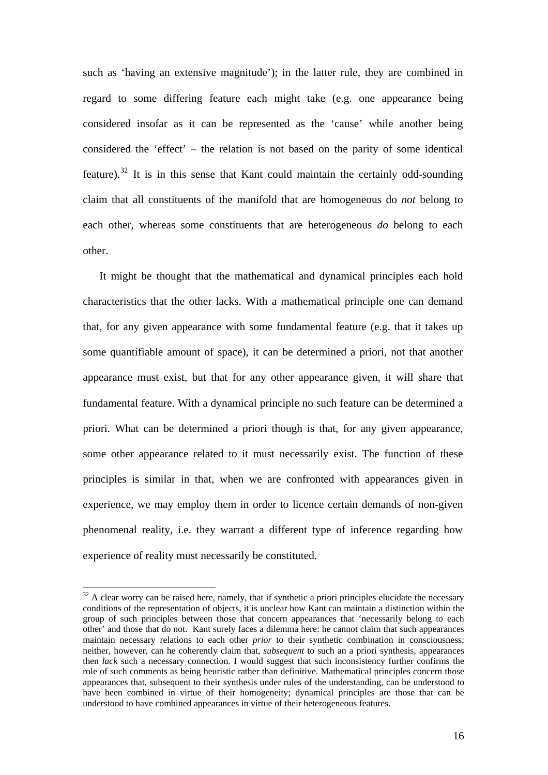such as 'having an extensive magnitude'); in the latter rule, they are combined in regard to some differing feature each might take (e.g. one appearance being considered insofar as it can be represented as the 'cause' while another being considered the 'effect' – the relation is not based on the parity of some identical feature).<sup>[32](#page-15-0)</sup> It is in this sense that Kant could maintain the certainly odd-sounding claim that all constituents of the manifold that are homogeneous do *not* belong to each other, whereas some constituents that are heterogeneous *do* belong to each other.

It might be thought that the mathematical and dynamical principles each hold characteristics that the other lacks. With a mathematical principle one can demand that, for any given appearance with some fundamental feature (e.g. that it takes up some quantifiable amount of space), it can be determined a priori, not that another appearance must exist, but that for any other appearance given, it will share that fundamental feature. With a dynamical principle no such feature can be determined a priori. What can be determined a priori though is that, for any given appearance, some other appearance related to it must necessarily exist. The function of these principles is similar in that, when we are confronted with appearances given in experience, we may employ them in order to licence certain demands of non-given phenomenal reality, i.e. they warrant a different type of inference regarding how experience of reality must necessarily be constituted.

<span id="page-15-0"></span> $32$  A clear worry can be raised here, namely, that if synthetic a priori principles elucidate the necessary conditions of the representation of objects, it is unclear how Kant can maintain a distinction within the group of such principles between those that concern appearances that 'necessarily belong to each other' and those that do not. Kant surely faces a dilemma here: he cannot claim that such appearances maintain necessary relations to each other *prior* to their synthetic combination in consciousness; neither, however, can he coherently claim that, *subsequent* to such an a priori synthesis, appearances then *lack* such a necessary connection. I would suggest that such inconsistency further confirms the role of such comments as being heuristic rather than definitive. Mathematical principles concern those appearances that, subsequent to their synthesis under rules of the understanding, can be understood to have been combined in virtue of their homogeneity; dynamical principles are those that can be understood to have combined appearances in virtue of their heterogeneous features.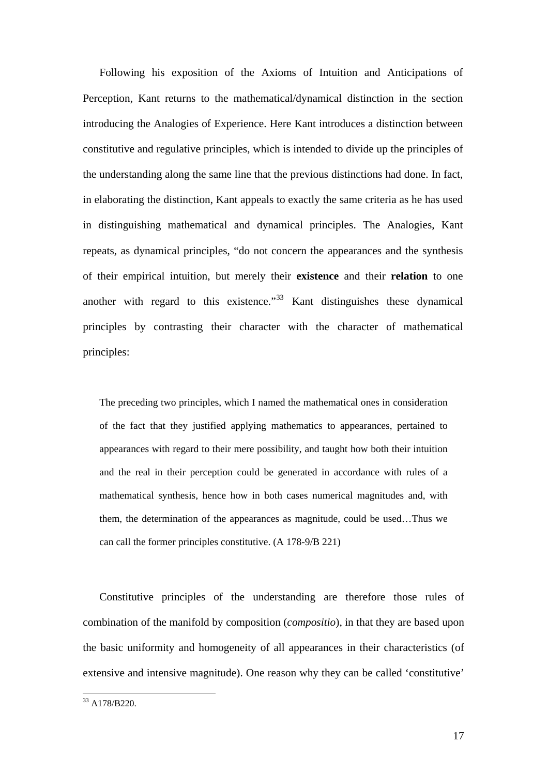Following his exposition of the Axioms of Intuition and Anticipations of Perception, Kant returns to the mathematical/dynamical distinction in the section introducing the Analogies of Experience. Here Kant introduces a distinction between constitutive and regulative principles, which is intended to divide up the principles of the understanding along the same line that the previous distinctions had done. In fact, in elaborating the distinction, Kant appeals to exactly the same criteria as he has used in distinguishing mathematical and dynamical principles. The Analogies, Kant repeats, as dynamical principles, "do not concern the appearances and the synthesis of their empirical intuition, but merely their **existence** and their **relation** to one another with regard to this existence."<sup>[33](#page-16-0)</sup> Kant distinguishes these dynamical principles by contrasting their character with the character of mathematical principles:

The preceding two principles, which I named the mathematical ones in consideration of the fact that they justified applying mathematics to appearances, pertained to appearances with regard to their mere possibility, and taught how both their intuition and the real in their perception could be generated in accordance with rules of a mathematical synthesis, hence how in both cases numerical magnitudes and, with them, the determination of the appearances as magnitude, could be used…Thus we can call the former principles constitutive. (A 178-9/B 221)

Constitutive principles of the understanding are therefore those rules of combination of the manifold by composition (*compositio*), in that they are based upon the basic uniformity and homogeneity of all appearances in their characteristics (of extensive and intensive magnitude). One reason why they can be called 'constitutive'

<span id="page-16-0"></span><sup>&</sup>lt;sup>33</sup> A178/B220.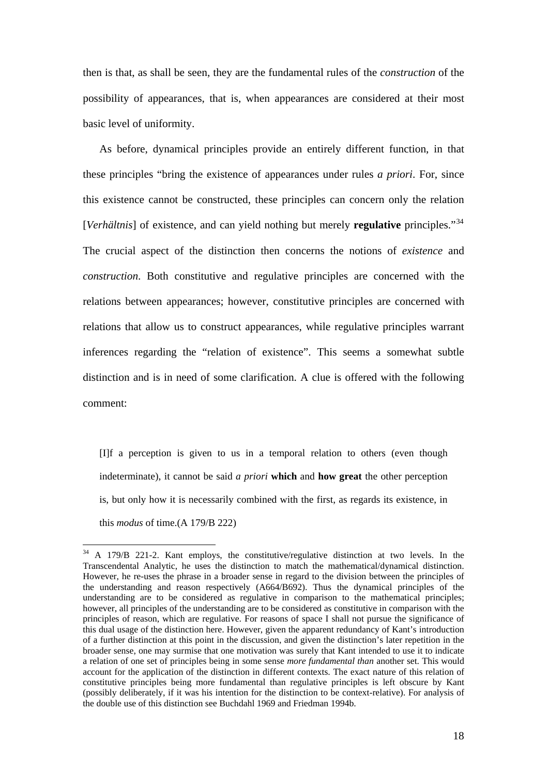then is that, as shall be seen, they are the fundamental rules of the *construction* of the possibility of appearances, that is, when appearances are considered at their most basic level of uniformity.

As before, dynamical principles provide an entirely different function, in that these principles "bring the existence of appearances under rules *a priori*. For, since this existence cannot be constructed, these principles can concern only the relation [*Verhältnis*] of existence, and can yield nothing but merely **regulative** principles."[34](#page-17-0) The crucial aspect of the distinction then concerns the notions of *existence* and *construction*. Both constitutive and regulative principles are concerned with the relations between appearances; however, constitutive principles are concerned with relations that allow us to construct appearances, while regulative principles warrant inferences regarding the "relation of existence". This seems a somewhat subtle distinction and is in need of some clarification. A clue is offered with the following comment:

[I]f a perception is given to us in a temporal relation to others (even though indeterminate), it cannot be said *a priori* **which** and **how great** the other perception is, but only how it is necessarily combined with the first, as regards its existence, in this *modus* of time.(A 179/B 222)

<span id="page-17-0"></span><sup>&</sup>lt;sup>34</sup> A 179/B 221-2. Kant employs, the constitutive/regulative distinction at two levels. In the Transcendental Analytic, he uses the distinction to match the mathematical/dynamical distinction. However, he re-uses the phrase in a broader sense in regard to the division between the principles of the understanding and reason respectively (A664/B692). Thus the dynamical principles of the understanding are to be considered as regulative in comparison to the mathematical principles; however, all principles of the understanding are to be considered as constitutive in comparison with the principles of reason, which are regulative. For reasons of space I shall not pursue the significance of this dual usage of the distinction here. However, given the apparent redundancy of Kant's introduction of a further distinction at this point in the discussion, and given the distinction's later repetition in the broader sense, one may surmise that one motivation was surely that Kant intended to use it to indicate a relation of one set of principles being in some sense *more fundamental than* another set. This would account for the application of the distinction in different contexts. The exact nature of this relation of constitutive principles being more fundamental than regulative principles is left obscure by Kant (possibly deliberately, if it was his intention for the distinction to be context-relative). For analysis of the double use of this distinction see Buchdahl 1969 and Friedman 1994b.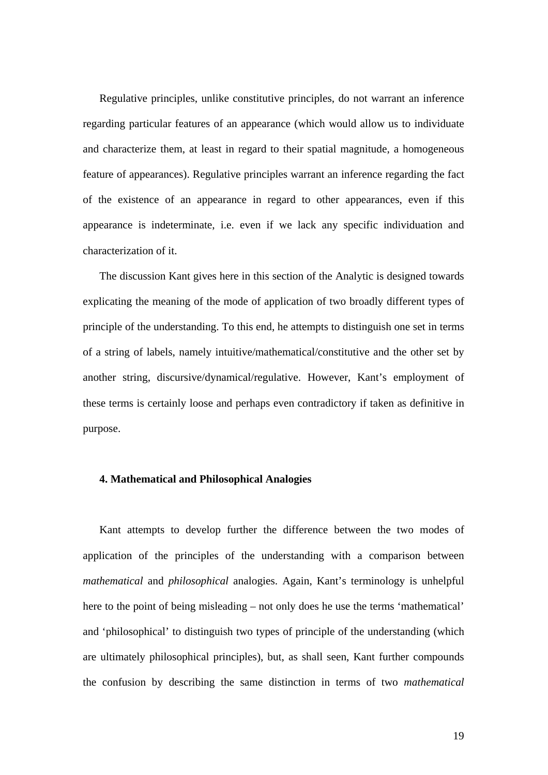Regulative principles, unlike constitutive principles, do not warrant an inference regarding particular features of an appearance (which would allow us to individuate and characterize them, at least in regard to their spatial magnitude, a homogeneous feature of appearances). Regulative principles warrant an inference regarding the fact of the existence of an appearance in regard to other appearances, even if this appearance is indeterminate, i.e. even if we lack any specific individuation and characterization of it.

The discussion Kant gives here in this section of the Analytic is designed towards explicating the meaning of the mode of application of two broadly different types of principle of the understanding. To this end, he attempts to distinguish one set in terms of a string of labels, namely intuitive/mathematical/constitutive and the other set by another string, discursive/dynamical/regulative. However, Kant's employment of these terms is certainly loose and perhaps even contradictory if taken as definitive in purpose.

### **4. Mathematical and Philosophical Analogies**

Kant attempts to develop further the difference between the two modes of application of the principles of the understanding with a comparison between *mathematical* and *philosophical* analogies. Again, Kant's terminology is unhelpful here to the point of being misleading – not only does he use the terms 'mathematical' and 'philosophical' to distinguish two types of principle of the understanding (which are ultimately philosophical principles), but, as shall seen, Kant further compounds the confusion by describing the same distinction in terms of two *mathematical*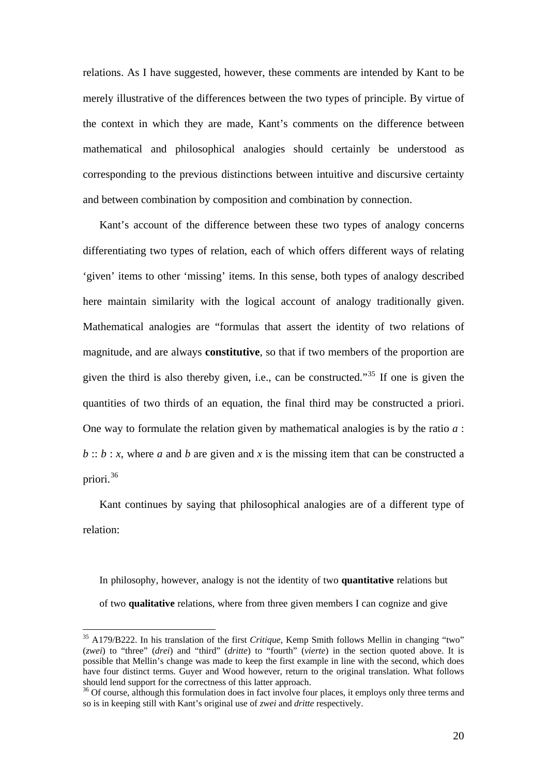relations. As I have suggested, however, these comments are intended by Kant to be merely illustrative of the differences between the two types of principle. By virtue of the context in which they are made, Kant's comments on the difference between mathematical and philosophical analogies should certainly be understood as corresponding to the previous distinctions between intuitive and discursive certainty and between combination by composition and combination by connection.

Kant's account of the difference between these two types of analogy concerns differentiating two types of relation, each of which offers different ways of relating 'given' items to other 'missing' items. In this sense, both types of analogy described here maintain similarity with the logical account of analogy traditionally given. Mathematical analogies are "formulas that assert the identity of two relations of magnitude, and are always **constitutive**, so that if two members of the proportion are given the third is also thereby given, i.e., can be constructed."<sup>[35](#page-19-0)</sup> If one is given the quantities of two thirds of an equation, the final third may be constructed a priori. One way to formulate the relation given by mathematical analogies is by the ratio *a* :  $b$  ::  $b$  :  $x$ , where *a* and *b* are given and  $x$  is the missing item that can be constructed a priori.[36](#page-19-1)

Kant continues by saying that philosophical analogies are of a different type of relation:

In philosophy, however, analogy is not the identity of two **quantitative** relations but of two **qualitative** relations, where from three given members I can cognize and give

<span id="page-19-0"></span><sup>35</sup> A179/B222. In his translation of the first *Critique*, Kemp Smith follows Mellin in changing "two" (*zwei*) to "three" (*drei*) and "third" (*dritte*) to "fourth" (*vierte*) in the section quoted above. It is possible that Mellin's change was made to keep the first example in line with the second, which does have four distinct terms. Guyer and Wood however, return to the original translation. What follows should lend support for the correctness of this latter approach.

<span id="page-19-1"></span><sup>&</sup>lt;sup>36</sup> Of course, although this formulation does in fact involve four places, it employs only three terms and so is in keeping still with Kant's original use of *zwei* and *dritte* respectively.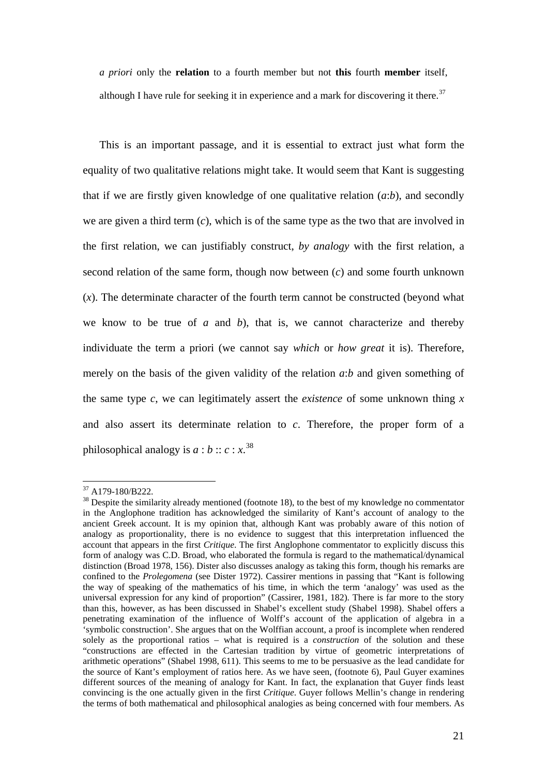*a priori* only the **relation** to a fourth member but not **this** fourth **member** itself, although I have rule for seeking it in experience and a mark for discovering it there.<sup>[37](#page-20-0)</sup>

This is an important passage, and it is essential to extract just what form the equality of two qualitative relations might take. It would seem that Kant is suggesting that if we are firstly given knowledge of one qualitative relation (*a*:*b*), and secondly we are given a third term (*c*), which is of the same type as the two that are involved in the first relation, we can justifiably construct, *by analogy* with the first relation, a second relation of the same form, though now between (*c*) and some fourth unknown (*x*). The determinate character of the fourth term cannot be constructed (beyond what we know to be true of *a* and *b*), that is, we cannot characterize and thereby individuate the term a priori (we cannot say *which* or *how great* it is). Therefore, merely on the basis of the given validity of the relation *a*:*b* and given something of the same type *c*, we can legitimately assert the *existence* of some unknown thing *x* and also assert its determinate relation to *c*. Therefore, the proper form of a philosophical analogy is  $a:b:: c:x<sup>38</sup>$  $a:b:: c:x<sup>38</sup>$  $a:b:: c:x<sup>38</sup>$ .

<sup>&</sup>lt;sup>37</sup> A179-180/B222.

<span id="page-20-1"></span><span id="page-20-0"></span><sup>&</sup>lt;sup>38</sup> Despite the similarity already mentioned (footnote 18), to the best of my knowledge no commentator in the Anglophone tradition has acknowledged the similarity of Kant's account of analogy to the ancient Greek account. It is my opinion that, although Kant was probably aware of this notion of analogy as proportionality, there is no evidence to suggest that this interpretation influenced the account that appears in the first *Critique*. The first Anglophone commentator to explicitly discuss this form of analogy was C.D. Broad, who elaborated the formula is regard to the mathematical/dynamical distinction (Broad 1978, 156). Dister also discusses analogy as taking this form, though his remarks are confined to the *Prolegomena* (see Dister 1972). Cassirer mentions in passing that "Kant is following the way of speaking of the mathematics of his time, in which the term 'analogy' was used as the universal expression for any kind of proportion" (Cassirer, 1981, 182). There is far more to the story than this, however, as has been discussed in Shabel's excellent study (Shabel 1998). Shabel offers a penetrating examination of the influence of Wolff's account of the application of algebra in a 'symbolic construction'. She argues that on the Wolffian account, a proof is incomplete when rendered solely as the proportional ratios – what is required is a *construction* of the solution and these "constructions are effected in the Cartesian tradition by virtue of geometric interpretations of arithmetic operations" (Shabel 1998, 611). This seems to me to be persuasive as the lead candidate for the source of Kant's employment of ratios here. As we have seen, (footnote 6), Paul Guyer examines different sources of the meaning of analogy for Kant. In fact, the explanation that Guyer finds least convincing is the one actually given in the first *Critique*. Guyer follows Mellin's change in rendering the terms of both mathematical and philosophical analogies as being concerned with four members. As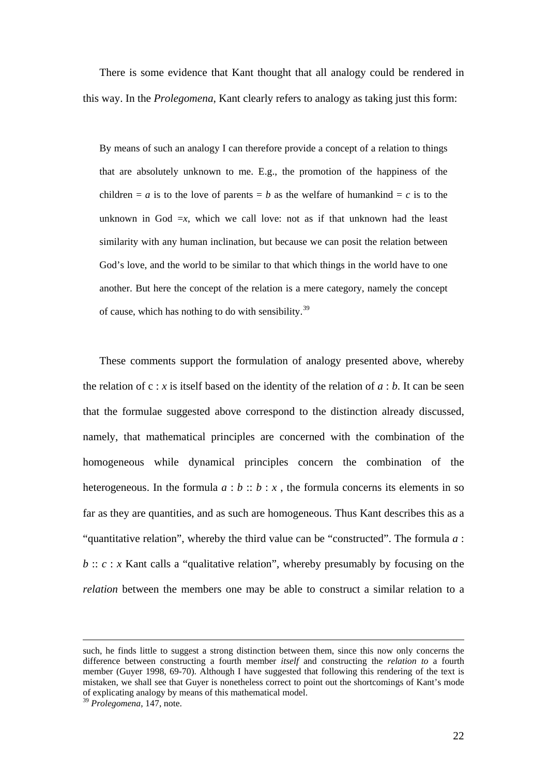There is some evidence that Kant thought that all analogy could be rendered in this way. In the *Prolegomena*, Kant clearly refers to analogy as taking just this form:

By means of such an analogy I can therefore provide a concept of a relation to things that are absolutely unknown to me. E.g., the promotion of the happiness of the children = *a* is to the love of parents = *b* as the welfare of humankind = *c* is to the unknown in God  $=x$ , which we call love: not as if that unknown had the least similarity with any human inclination, but because we can posit the relation between God's love, and the world to be similar to that which things in the world have to one another. But here the concept of the relation is a mere category, namely the concept of cause, which has nothing to do with sensibility.[39](#page-21-0)

These comments support the formulation of analogy presented above, whereby the relation of c : *x* is itself based on the identity of the relation of  $a : b$ . It can be seen that the formulae suggested above correspond to the distinction already discussed, namely, that mathematical principles are concerned with the combination of the homogeneous while dynamical principles concern the combination of the heterogeneous. In the formula  $a : b :: b : x$ , the formula concerns its elements in so far as they are quantities, and as such are homogeneous. Thus Kant describes this as a "quantitative relation", whereby the third value can be "constructed". The formula *a* :  $b :: c : x$  Kant calls a "qualitative relation", whereby presumably by focusing on the *relation* between the members one may be able to construct a similar relation to a

such, he finds little to suggest a strong distinction between them, since this now only concerns the difference between constructing a fourth member *itself* and constructing the *relation to* a fourth member (Guyer 1998, 69-70). Although I have suggested that following this rendering of the text is mistaken, we shall see that Guyer is nonetheless correct to point out the shortcomings of Kant's mode of explicating analogy by means of this mathematical model.

<span id="page-21-0"></span><sup>39</sup> *Prolegomena*, 147, note.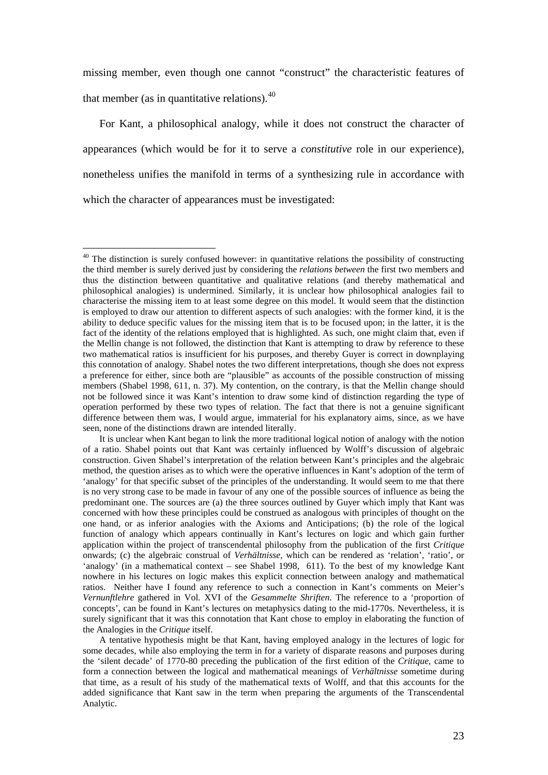missing member, even though one cannot "construct" the characteristic features of that member (as in quantitative relations). $40$ 

For Kant, a philosophical analogy, while it does not construct the character of appearances (which would be for it to serve a *constitutive* role in our experience), nonetheless unifies the manifold in terms of a synthesizing rule in accordance with which the character of appearances must be investigated:

<span id="page-22-0"></span><sup>&</sup>lt;sup>40</sup> The distinction is surely confused however: in quantitative relations the possibility of constructing the third member is surely derived just by considering the *relations between* the first two members and thus the distinction between quantitative and qualitative relations (and thereby mathematical and philosophical analogies) is undermined. Similarly, it is unclear how philosophical analogies fail to characterise the missing item to at least some degree on this model. It would seem that the distinction is employed to draw our attention to different aspects of such analogies: with the former kind, it is the ability to deduce specific values for the missing item that is to be focused upon; in the latter, it is the fact of the identity of the relations employed that is highlighted. As such, one might claim that, even if the Mellin change is not followed, the distinction that Kant is attempting to draw by reference to these two mathematical ratios is insufficient for his purposes, and thereby Guyer is correct in downplaying this connotation of analogy. Shabel notes the two different interpretations, though she does not express a preference for either, since both are "plausible" as accounts of the possible construction of missing members (Shabel 1998, 611, n. 37). My contention, on the contrary, is that the Mellin change should not be followed since it was Kant's intention to draw some kind of distinction regarding the type of operation performed by these two types of relation. The fact that there is not a genuine significant difference between them was, I would argue, immaterial for his explanatory aims, since, as we have seen, none of the distinctions drawn are intended literally.

It is unclear when Kant began to link the more traditional logical notion of analogy with the notion of a ratio. Shabel points out that Kant was certainly influenced by Wolff's discussion of algebraic construction. Given Shabel's interpretation of the relation between Kant's principles and the algebraic method, the question arises as to which were the operative influences in Kant's adoption of the term of 'analogy' for that specific subset of the principles of the understanding. It would seem to me that there is no very strong case to be made in favour of any one of the possible sources of influence as being the predominant one. The sources are (a) the three sources outlined by Guyer which imply that Kant was concerned with how these principles could be construed as analogous with principles of thought on the one hand, or as inferior analogies with the Axioms and Anticipations; (b) the role of the logical function of analogy which appears continually in Kant's lectures on logic and which gain further application within the project of transcendental philosophy from the publication of the first *Critique* onwards; (c) the algebraic construal of *Verhältnisse*, which can be rendered as 'relation', 'ratio', or 'analogy' (in a mathematical context – see Shabel 1998, 611). To the best of my knowledge Kant nowhere in his lectures on logic makes this explicit connection between analogy and mathematical ratios. Neither have I found any reference to such a connection in Kant's comments on Meier's *Vernunftlehre* gathered in Vol. XVI of the *Gesammelte Shriften*. The reference to a 'proportion of concepts', can be found in Kant's lectures on metaphysics dating to the mid-1770s. Nevertheless, it is surely significant that it was this connotation that Kant chose to employ in elaborating the function of the Analogies in the *Critique* itself.

A tentative hypothesis might be that Kant, having employed analogy in the lectures of logic for some decades, while also employing the term in for a variety of disparate reasons and purposes during the 'silent decade' of 1770-80 preceding the publication of the first edition of the *Critique*, came to form a connection between the logical and mathematical meanings of *Verhältnisse* sometime during that time, as a result of his study of the mathematical texts of Wolff, and that this accounts for the added significance that Kant saw in the term when preparing the arguments of the Transcendental Analytic.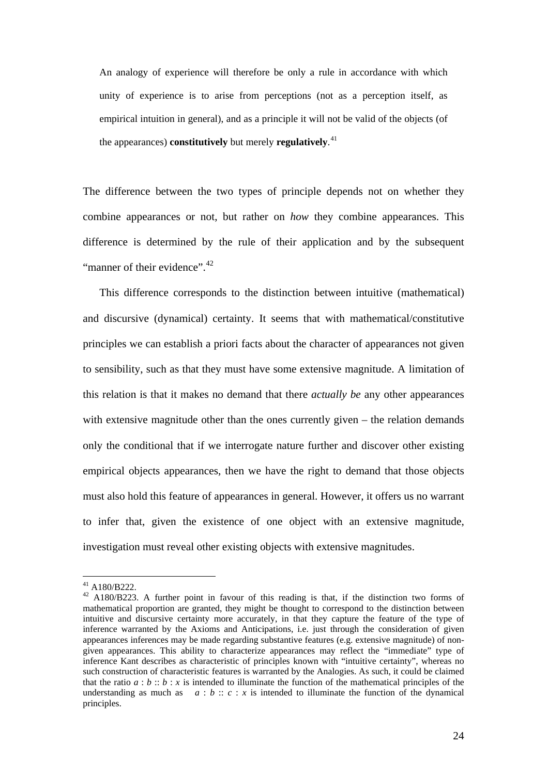An analogy of experience will therefore be only a rule in accordance with which unity of experience is to arise from perceptions (not as a perception itself, as empirical intuition in general), and as a principle it will not be valid of the objects (of the appearances) **constitutively** but merely **regulatively**. [41](#page-23-0)

The difference between the two types of principle depends not on whether they combine appearances or not, but rather on *how* they combine appearances. This difference is determined by the rule of their application and by the subsequent "manner of their evidence".<sup>[42](#page-23-1)</sup>

This difference corresponds to the distinction between intuitive (mathematical) and discursive (dynamical) certainty. It seems that with mathematical/constitutive principles we can establish a priori facts about the character of appearances not given to sensibility, such as that they must have some extensive magnitude. A limitation of this relation is that it makes no demand that there *actually be* any other appearances with extensive magnitude other than the ones currently given – the relation demands only the conditional that if we interrogate nature further and discover other existing empirical objects appearances, then we have the right to demand that those objects must also hold this feature of appearances in general. However, it offers us no warrant to infer that, given the existence of one object with an extensive magnitude, investigation must reveal other existing objects with extensive magnitudes.

 $41$  A180/B222.

<span id="page-23-1"></span><span id="page-23-0"></span><sup>&</sup>lt;sup>42</sup> A180/B223. A further point in favour of this reading is that, if the distinction two forms of mathematical proportion are granted, they might be thought to correspond to the distinction between intuitive and discursive certainty more accurately, in that they capture the feature of the type of inference warranted by the Axioms and Anticipations, i.e. just through the consideration of given appearances inferences may be made regarding substantive features (e.g. extensive magnitude) of nongiven appearances. This ability to characterize appearances may reflect the "immediate" type of inference Kant describes as characteristic of principles known with "intuitive certainty", whereas no such construction of characteristic features is warranted by the Analogies. As such, it could be claimed that the ratio  $a : b :: b : x$  is intended to illuminate the function of the mathematical principles of the understanding as much as  $a : b :: c : x$  is intended to illuminate the function of the dynamical principles.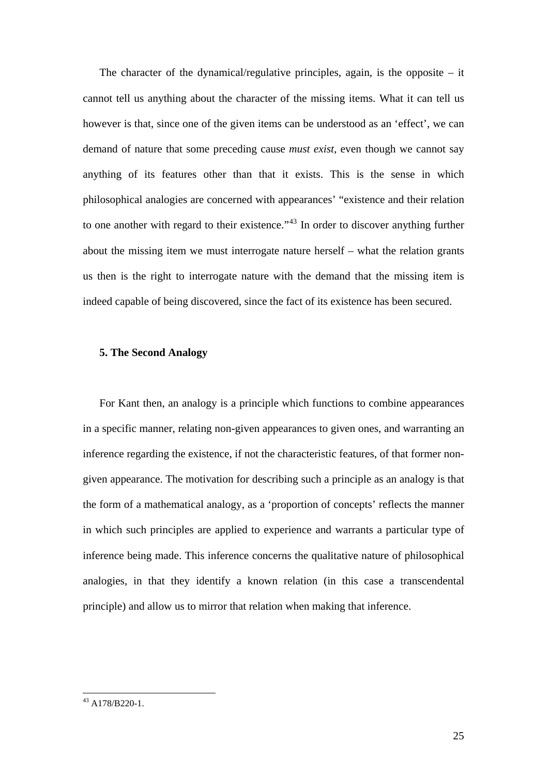The character of the dynamical/regulative principles, again, is the opposite  $-$  it cannot tell us anything about the character of the missing items. What it can tell us however is that, since one of the given items can be understood as an 'effect', we can demand of nature that some preceding cause *must exist*, even though we cannot say anything of its features other than that it exists. This is the sense in which philosophical analogies are concerned with appearances' "existence and their relation to one another with regard to their existence."<sup>[43](#page-24-0)</sup> In order to discover anything further about the missing item we must interrogate nature herself – what the relation grants us then is the right to interrogate nature with the demand that the missing item is indeed capable of being discovered, since the fact of its existence has been secured.

## **5. The Second Analogy**

For Kant then, an analogy is a principle which functions to combine appearances in a specific manner, relating non-given appearances to given ones, and warranting an inference regarding the existence, if not the characteristic features, of that former nongiven appearance. The motivation for describing such a principle as an analogy is that the form of a mathematical analogy, as a 'proportion of concepts' reflects the manner in which such principles are applied to experience and warrants a particular type of inference being made. This inference concerns the qualitative nature of philosophical analogies, in that they identify a known relation (in this case a transcendental principle) and allow us to mirror that relation when making that inference.

<span id="page-24-0"></span> $43$  A178/B220-1.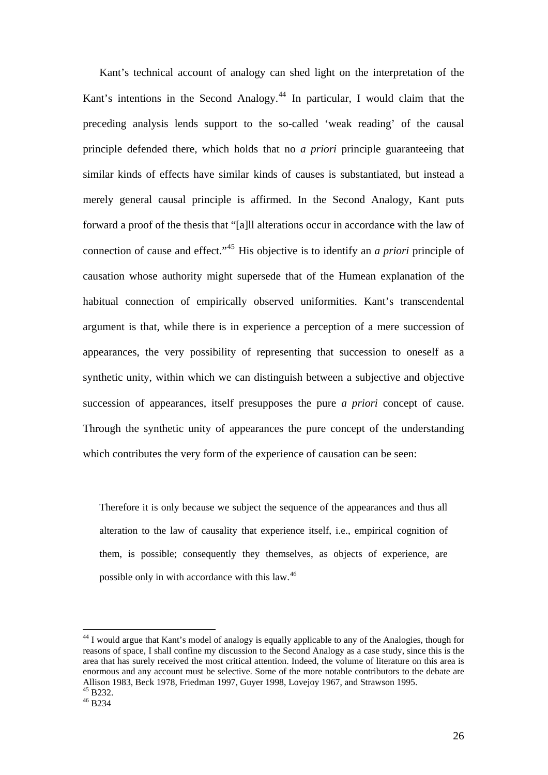Kant's technical account of analogy can shed light on the interpretation of the Kant's intentions in the Second Analogy.<sup>[44](#page-25-0)</sup> In particular, I would claim that the preceding analysis lends support to the so-called 'weak reading' of the causal principle defended there, which holds that no *a priori* principle guaranteeing that similar kinds of effects have similar kinds of causes is substantiated, but instead a merely general causal principle is affirmed. In the Second Analogy, Kant puts forward a proof of the thesis that "[a]ll alterations occur in accordance with the law of connection of cause and effect."[45](#page-25-1) His objective is to identify an *a priori* principle of causation whose authority might supersede that of the Humean explanation of the habitual connection of empirically observed uniformities. Kant's transcendental argument is that, while there is in experience a perception of a mere succession of appearances, the very possibility of representing that succession to oneself as a synthetic unity, within which we can distinguish between a subjective and objective succession of appearances, itself presupposes the pure *a priori* concept of cause. Through the synthetic unity of appearances the pure concept of the understanding which contributes the very form of the experience of causation can be seen:

Therefore it is only because we subject the sequence of the appearances and thus all alteration to the law of causality that experience itself, i.e., empirical cognition of them, is possible; consequently they themselves, as objects of experience, are possible only in with accordance with this law.[46](#page-25-2)

<span id="page-25-0"></span><sup>&</sup>lt;sup>44</sup> I would argue that Kant's model of analogy is equally applicable to any of the Analogies, though for reasons of space, I shall confine my discussion to the Second Analogy as a case study, since this is the area that has surely received the most critical attention. Indeed, the volume of literature on this area is enormous and any account must be selective. Some of the more notable contributors to the debate are Allison 1983, Beck 1978, Friedman 1997, Guyer 1998, Lovejoy 1967, and Strawson 1995.  $45$  B232.

<span id="page-25-2"></span><span id="page-25-1"></span> $46 \overline{\text{B}234}$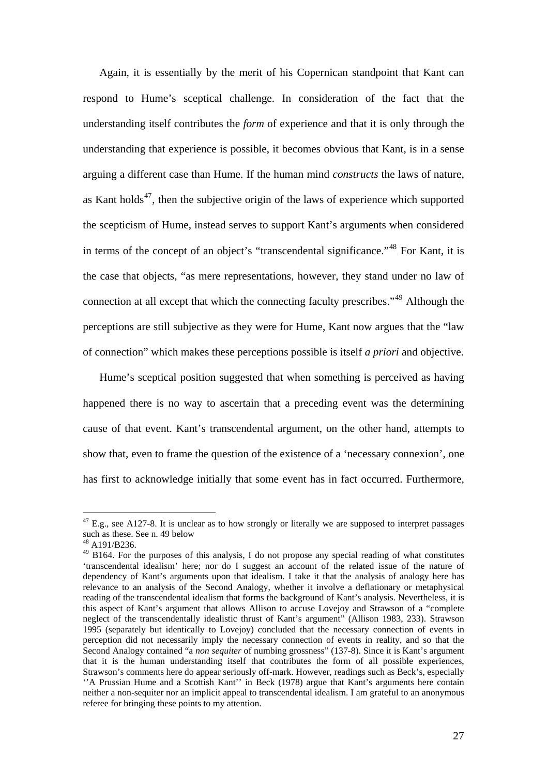Again, it is essentially by the merit of his Copernican standpoint that Kant can respond to Hume's sceptical challenge. In consideration of the fact that the understanding itself contributes the *form* of experience and that it is only through the understanding that experience is possible, it becomes obvious that Kant, is in a sense arguing a different case than Hume. If the human mind *constructs* the laws of nature, as Kant holds<sup> $47$ </sup>, then the subjective origin of the laws of experience which supported the scepticism of Hume, instead serves to support Kant's arguments when considered in terms of the concept of an object's "transcendental significance."<sup>[48](#page-26-1)</sup> For Kant, it is the case that objects, "as mere representations, however, they stand under no law of connection at all except that which the connecting faculty prescribes."[49](#page-26-2) Although the perceptions are still subjective as they were for Hume, Kant now argues that the "law of connection" which makes these perceptions possible is itself *a priori* and objective.

Hume's sceptical position suggested that when something is perceived as having happened there is no way to ascertain that a preceding event was the determining cause of that event. Kant's transcendental argument, on the other hand, attempts to show that, even to frame the question of the existence of a 'necessary connexion', one has first to acknowledge initially that some event has in fact occurred. Furthermore,

<span id="page-26-0"></span> $47$  E.g., see A127-8. It is unclear as to how strongly or literally we are supposed to interpret passages such as these. See n. 49 below

<sup>48</sup> A191/B236.

<span id="page-26-2"></span><span id="page-26-1"></span><sup>&</sup>lt;sup>49</sup> B164. For the purposes of this analysis, I do not propose any special reading of what constitutes 'transcendental idealism' here; nor do I suggest an account of the related issue of the nature of dependency of Kant's arguments upon that idealism. I take it that the analysis of analogy here has relevance to an analysis of the Second Analogy, whether it involve a deflationary or metaphysical reading of the transcendental idealism that forms the background of Kant's analysis. Nevertheless, it is this aspect of Kant's argument that allows Allison to accuse Lovejoy and Strawson of a "complete neglect of the transcendentally idealistic thrust of Kant's argument" (Allison 1983, 233). Strawson 1995 (separately but identically to Lovejoy) concluded that the necessary connection of events in perception did not necessarily imply the necessary connection of events in reality, and so that the Second Analogy contained "a *non sequiter* of numbing grossness" (137-8). Since it is Kant's argument that it is the human understanding itself that contributes the form of all possible experiences, Strawson's comments here do appear seriously off-mark. However, readings such as Beck's, especially ''A Prussian Hume and a Scottish Kant'' in Beck (1978) argue that Kant's arguments here contain neither a non-sequiter nor an implicit appeal to transcendental idealism. I am grateful to an anonymous referee for bringing these points to my attention.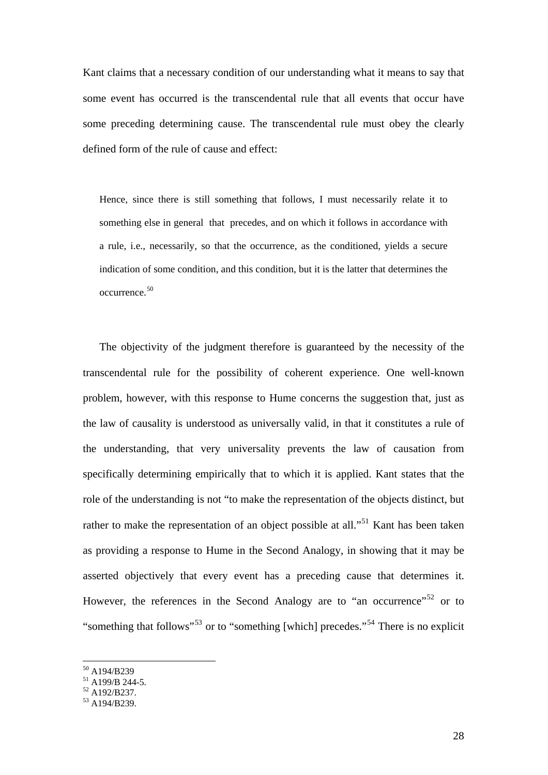Kant claims that a necessary condition of our understanding what it means to say that some event has occurred is the transcendental rule that all events that occur have some preceding determining cause. The transcendental rule must obey the clearly defined form of the rule of cause and effect:

Hence, since there is still something that follows, I must necessarily relate it to something else in general that precedes, and on which it follows in accordance with a rule, i.e., necessarily, so that the occurrence, as the conditioned, yields a secure indication of some condition, and this condition, but it is the latter that determines the occurrence.[50](#page-27-0)

The objectivity of the judgment therefore is guaranteed by the necessity of the transcendental rule for the possibility of coherent experience. One well-known problem, however, with this response to Hume concerns the suggestion that, just as the law of causality is understood as universally valid, in that it constitutes a rule of the understanding, that very universality prevents the law of causation from specifically determining empirically that to which it is applied. Kant states that the role of the understanding is not "to make the representation of the objects distinct, but rather to make the representation of an object possible at all."<sup>[51](#page-27-1)</sup> Kant has been taken as providing a response to Hume in the Second Analogy, in showing that it may be asserted objectively that every event has a preceding cause that determines it. However, the references in the Second Analogy are to "an occurrence"<sup>[52](#page-27-2)</sup> or to "something that follows"<sup>[53](#page-27-3)</sup> or to "something [which] precedes."<sup>[54](#page-27-0)</sup> There is no explicit

<sup>50</sup> A194/B239

<span id="page-27-0"></span><sup>51</sup> A199/B 244-5.

<span id="page-27-2"></span><span id="page-27-1"></span> $52$  A192/B237.

<span id="page-27-3"></span><sup>53</sup> A194/B239.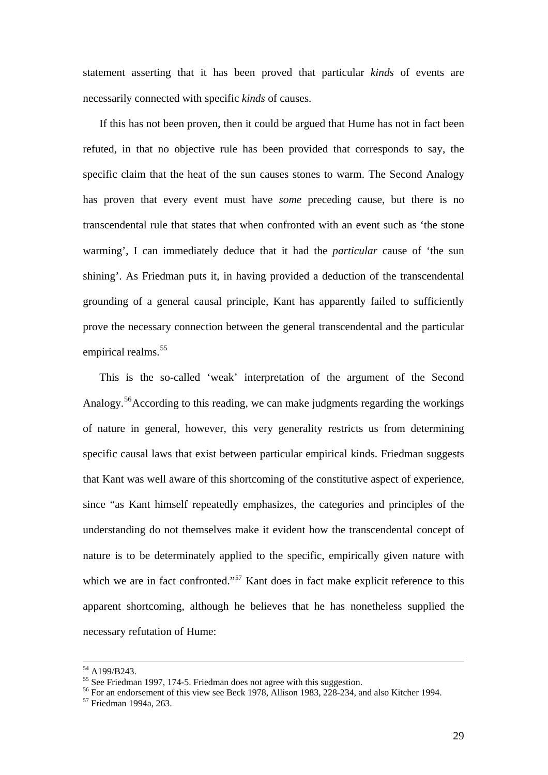statement asserting that it has been proved that particular *kinds* of events are necessarily connected with specific *kinds* of causes.

If this has not been proven, then it could be argued that Hume has not in fact been refuted, in that no objective rule has been provided that corresponds to say, the specific claim that the heat of the sun causes stones to warm. The Second Analogy has proven that every event must have *some* preceding cause, but there is no transcendental rule that states that when confronted with an event such as 'the stone warming', I can immediately deduce that it had the *particular* cause of 'the sun shining'. As Friedman puts it, in having provided a deduction of the transcendental grounding of a general causal principle, Kant has apparently failed to sufficiently prove the necessary connection between the general transcendental and the particular empirical realms.<sup>[55](#page-28-0)</sup>

This is the so-called 'weak' interpretation of the argument of the Second Analogy.<sup>[56](#page-28-1)</sup>According to this reading, we can make judgments regarding the workings of nature in general, however, this very generality restricts us from determining specific causal laws that exist between particular empirical kinds. Friedman suggests that Kant was well aware of this shortcoming of the constitutive aspect of experience, since "as Kant himself repeatedly emphasizes, the categories and principles of the understanding do not themselves make it evident how the transcendental concept of nature is to be determinately applied to the specific, empirically given nature with which we are in fact confronted."<sup>[57](#page-28-2)</sup> Kant does in fact make explicit reference to this apparent shortcoming, although he believes that he has nonetheless supplied the necessary refutation of Hume:

 $^{54}$  A199/B243.<br> $^{55}$  See Friedman 1997, 174-5. Friedman does not agree with this suggestion.

<span id="page-28-2"></span><span id="page-28-1"></span><span id="page-28-0"></span><sup>&</sup>lt;sup>56</sup> For an endorsement of this view see Beck 1978, Allison 1983, 228-234, and also Kitcher 1994.<br><sup>57</sup> Friedman 1994a, 263.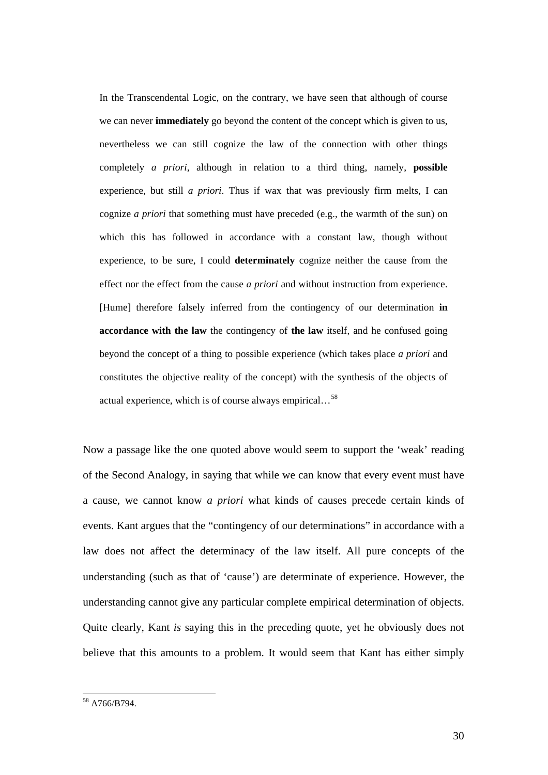In the Transcendental Logic, on the contrary, we have seen that although of course we can never **immediately** go beyond the content of the concept which is given to us, nevertheless we can still cognize the law of the connection with other things completely *a priori*, although in relation to a third thing, namely, **possible**  experience, but still *a priori*. Thus if wax that was previously firm melts, I can cognize *a priori* that something must have preceded (e.g., the warmth of the sun) on which this has followed in accordance with a constant law, though without experience, to be sure, I could **determinately** cognize neither the cause from the effect nor the effect from the cause *a priori* and without instruction from experience. [Hume] therefore falsely inferred from the contingency of our determination **in accordance with the law** the contingency of **the law** itself, and he confused going beyond the concept of a thing to possible experience (which takes place *a priori* and constitutes the objective reality of the concept) with the synthesis of the objects of actual experience, which is of course always empirical…[58](#page-29-0)

Now a passage like the one quoted above would seem to support the 'weak' reading of the Second Analogy, in saying that while we can know that every event must have a cause, we cannot know *a priori* what kinds of causes precede certain kinds of events. Kant argues that the "contingency of our determinations" in accordance with a law does not affect the determinacy of the law itself. All pure concepts of the understanding (such as that of 'cause') are determinate of experience. However, the understanding cannot give any particular complete empirical determination of objects. Quite clearly, Kant *is* saying this in the preceding quote, yet he obviously does not believe that this amounts to a problem. It would seem that Kant has either simply

<span id="page-29-0"></span><sup>58</sup> A766/B794.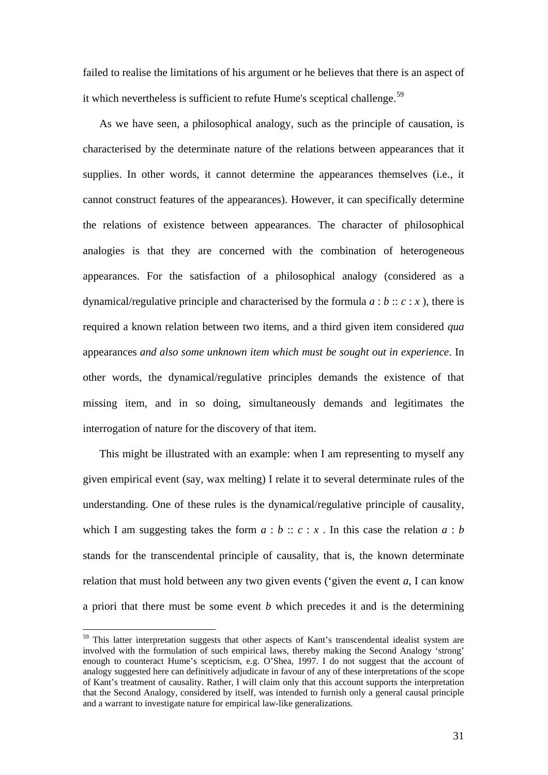failed to realise the limitations of his argument or he believes that there is an aspect of it which nevertheless is sufficient to refute Hume's sceptical challenge.<sup>[59](#page-30-0)</sup>

As we have seen, a philosophical analogy, such as the principle of causation, is characterised by the determinate nature of the relations between appearances that it supplies. In other words, it cannot determine the appearances themselves (i.e., it cannot construct features of the appearances). However, it can specifically determine the relations of existence between appearances. The character of philosophical analogies is that they are concerned with the combination of heterogeneous appearances. For the satisfaction of a philosophical analogy (considered as a dynamical/regulative principle and characterised by the formula  $a : b :: c : x$ ), there is required a known relation between two items, and a third given item considered *qua*  appearances *and also some unknown item which must be sought out in experience*. In other words, the dynamical/regulative principles demands the existence of that missing item, and in so doing, simultaneously demands and legitimates the interrogation of nature for the discovery of that item.

This might be illustrated with an example: when I am representing to myself any given empirical event (say, wax melting) I relate it to several determinate rules of the understanding. One of these rules is the dynamical/regulative principle of causality, which I am suggesting takes the form  $a : b :: c : x$ . In this case the relation  $a : b$ stands for the transcendental principle of causality, that is, the known determinate relation that must hold between any two given events ('given the event *a*, I can know a priori that there must be some event *b* which precedes it and is the determining

<span id="page-30-0"></span><sup>&</sup>lt;sup>59</sup> This latter interpretation suggests that other aspects of Kant's transcendental idealist system are involved with the formulation of such empirical laws, thereby making the Second Analogy 'strong' enough to counteract Hume's scepticism, e.g. O'Shea, 1997. I do not suggest that the account of analogy suggested here can definitively adjudicate in favour of any of these interpretations of the scope of Kant's treatment of causality. Rather, I will claim only that this account supports the interpretation that the Second Analogy, considered by itself, was intended to furnish only a general causal principle and a warrant to investigate nature for empirical law-like generalizations.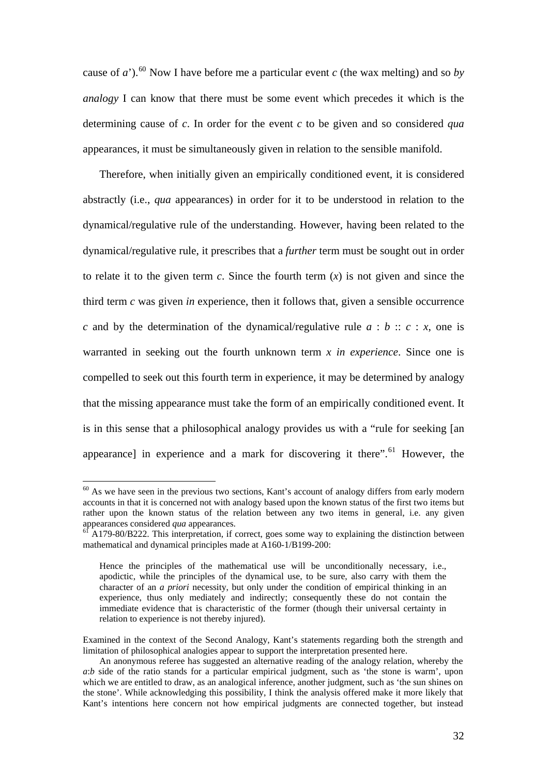cause of *a*').<sup>[60](#page-31-0)</sup> Now I have before me a particular event *c* (the wax melting) and so *by analogy* I can know that there must be some event which precedes it which is the determining cause of *c*. In order for the event *c* to be given and so considered *qua* appearances, it must be simultaneously given in relation to the sensible manifold.

Therefore, when initially given an empirically conditioned event, it is considered abstractly (i.e., *qua* appearances) in order for it to be understood in relation to the dynamical/regulative rule of the understanding. However, having been related to the dynamical/regulative rule, it prescribes that a *further* term must be sought out in order to relate it to the given term  $c$ . Since the fourth term  $(x)$  is not given and since the third term *c* was given *in* experience, then it follows that, given a sensible occurrence *c* and by the determination of the dynamical/regulative rule  $a : b :: c : x$ , one is warranted in seeking out the fourth unknown term *x in experience*. Since one is compelled to seek out this fourth term in experience, it may be determined by analogy that the missing appearance must take the form of an empirically conditioned event. It is in this sense that a philosophical analogy provides us with a "rule for seeking [an appearance] in experience and a mark for discovering it there".<sup>[61](#page-31-1)</sup> However, the

<span id="page-31-0"></span> $60$  As we have seen in the previous two sections, Kant's account of analogy differs from early modern accounts in that it is concerned not with analogy based upon the known status of the first two items but rather upon the known status of the relation between any two items in general, i.e. any given

<span id="page-31-1"></span>A179-80/B222. This interpretation, if correct, goes some way to explaining the distinction between mathematical and dynamical principles made at A160-1/B199-200:

Hence the principles of the mathematical use will be unconditionally necessary, i.e., apodictic, while the principles of the dynamical use, to be sure, also carry with them the character of an *a priori* necessity, but only under the condition of empirical thinking in an experience, thus only mediately and indirectly; consequently these do not contain the immediate evidence that is characteristic of the former (though their universal certainty in relation to experience is not thereby injured).

Examined in the context of the Second Analogy, Kant's statements regarding both the strength and limitation of philosophical analogies appear to support the interpretation presented here.

An anonymous referee has suggested an alternative reading of the analogy relation, whereby the *a*:*b* side of the ratio stands for a particular empirical judgment, such as 'the stone is warm', upon which we are entitled to draw, as an analogical inference, another judgment, such as 'the sun shines on the stone'. While acknowledging this possibility, I think the analysis offered make it more likely that Kant's intentions here concern not how empirical judgments are connected together, but instead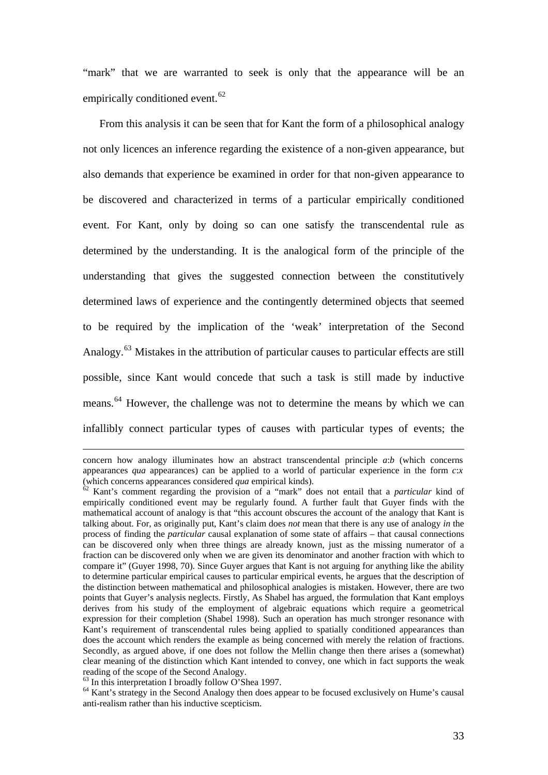"mark" that we are warranted to seek is only that the appearance will be an empirically conditioned event.<sup>[62](#page-32-0)</sup>

From this analysis it can be seen that for Kant the form of a philosophical analogy not only licences an inference regarding the existence of a non-given appearance, but also demands that experience be examined in order for that non-given appearance to be discovered and characterized in terms of a particular empirically conditioned event. For Kant, only by doing so can one satisfy the transcendental rule as determined by the understanding. It is the analogical form of the principle of the understanding that gives the suggested connection between the constitutively determined laws of experience and the contingently determined objects that seemed to be required by the implication of the 'weak' interpretation of the Second Analogy.[63](#page-32-1) Mistakes in the attribution of particular causes to particular effects are still possible, since Kant would concede that such a task is still made by inductive means.[64](#page-32-2) However, the challenge was not to determine the means by which we can infallibly connect particular types of causes with particular types of events; the

concern how analogy illuminates how an abstract transcendental principle *a*:*b* (which concerns appearances *qua* appearances) can be applied to a world of particular experience in the form *c*:*x* (which concerns appearances considered *qua* empirical kinds).

<span id="page-32-0"></span>Kant's comment regarding the provision of a "mark" does not entail that a *particular* kind of empirically conditioned event may be regularly found. A further fault that Guyer finds with the mathematical account of analogy is that "this account obscures the account of the analogy that Kant is talking about. For, as originally put, Kant's claim does *not* mean that there is any use of analogy *in* the process of finding the *particular* causal explanation of some state of affairs – that causal connections can be discovered only when three things are already known, just as the missing numerator of a fraction can be discovered only when we are given its denominator and another fraction with which to compare it" (Guyer 1998, 70). Since Guyer argues that Kant is not arguing for anything like the ability to determine particular empirical causes to particular empirical events, he argues that the description of the distinction between mathematical and philosophical analogies is mistaken. However, there are two points that Guyer's analysis neglects. Firstly, As Shabel has argued, the formulation that Kant employs derives from his study of the employment of algebraic equations which require a geometrical expression for their completion (Shabel 1998). Such an operation has much stronger resonance with Kant's requirement of transcendental rules being applied to spatially conditioned appearances than does the account which renders the example as being concerned with merely the relation of fractions. Secondly, as argued above, if one does not follow the Mellin change then there arises a (somewhat) clear meaning of the distinction which Kant intended to convey, one which in fact supports the weak reading of the scope of the Second Analogy.

 $^{63}$  In this interpretation I broadly follow O'Shea 1997.

<span id="page-32-2"></span><span id="page-32-1"></span><sup>&</sup>lt;sup>64</sup> Kant's strategy in the Second Analogy then does appear to be focused exclusively on Hume's causal anti-realism rather than his inductive scepticism.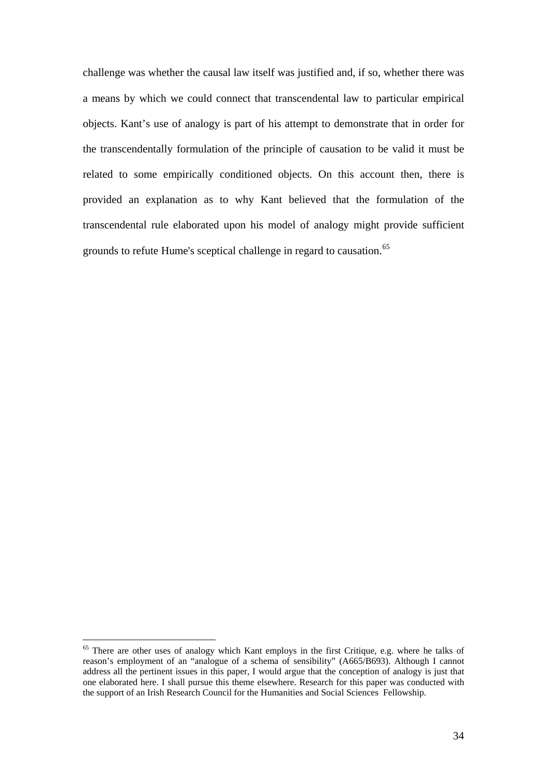challenge was whether the causal law itself was justified and, if so, whether there was a means by which we could connect that transcendental law to particular empirical objects. Kant's use of analogy is part of his attempt to demonstrate that in order for the transcendentally formulation of the principle of causation to be valid it must be related to some empirically conditioned objects. On this account then, there is provided an explanation as to why Kant believed that the formulation of the transcendental rule elaborated upon his model of analogy might provide sufficient grounds to refute Hume's sceptical challenge in regard to causation.<sup>[65](#page-33-0)</sup>

<span id="page-33-0"></span><sup>&</sup>lt;sup>65</sup> There are other uses of analogy which Kant employs in the first Critique, e.g. where he talks of reason's employment of an "analogue of a schema of sensibility" (A665/B693). Although I cannot address all the pertinent issues in this paper, I would argue that the conception of analogy is just that one elaborated here. I shall pursue this theme elsewhere. Research for this paper was conducted with the support of an Irish Research Council for the Humanities and Social Sciences Fellowship.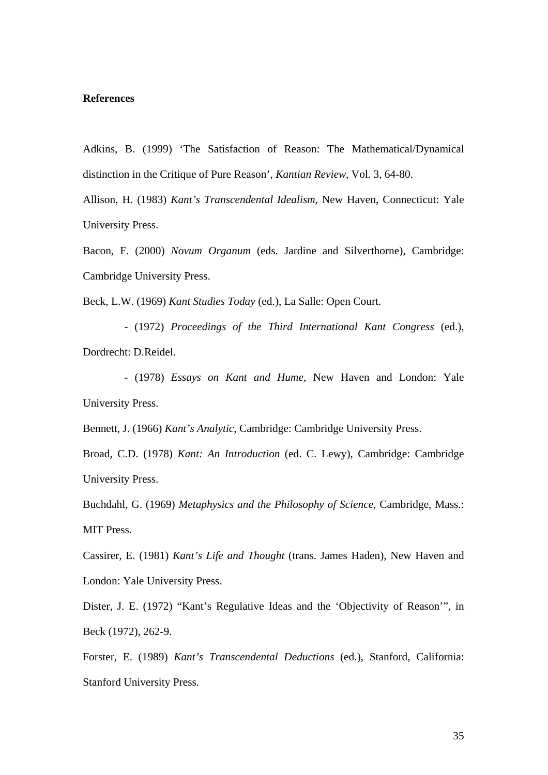#### **References**

Adkins, B. (1999) 'The Satisfaction of Reason: The Mathematical/Dynamical distinction in the Critique of Pure Reason', *Kantian Review*, Vol. 3, 64-80.

Allison, H. (1983) *Kant's Transcendental Idealism*, New Haven, Connecticut: Yale University Press.

Bacon, F. (2000) *Novum Organum* (eds. Jardine and Silverthorne), Cambridge: Cambridge University Press.

Beck, L.W. (1969) *Kant Studies Today* (ed.), La Salle: Open Court.

 - (1972) *Proceedings of the Third International Kant Congress* (ed.), Dordrecht: D.Reidel.

 - (1978) *Essays on Kant and Hume*, New Haven and London: Yale University Press.

Bennett, J. (1966) *Kant's Analytic*, Cambridge: Cambridge University Press.

Broad, C.D. (1978) *Kant: An Introduction* (ed. C. Lewy), Cambridge: Cambridge University Press.

Buchdahl, G. (1969) *Metaphysics and the Philosophy of Science*, Cambridge, Mass.: MIT Press.

Cassirer, E. (1981) *Kant's Life and Thought* (trans. James Haden), New Haven and London: Yale University Press.

Dister, J. E. (1972) "Kant's Regulative Ideas and the 'Objectivity of Reason'", in Beck (1972), 262-9.

Forster, E. (1989) *Kant's Transcendental Deductions* (ed.), Stanford, California: Stanford University Press.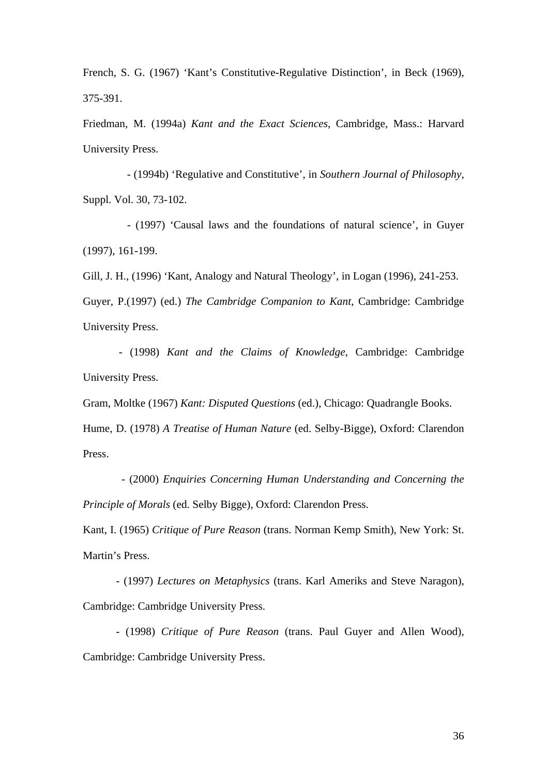French, S. G. (1967) 'Kant's Constitutive-Regulative Distinction', in Beck (1969), 375-391.

Friedman, M. (1994a) *Kant and the Exact Sciences*, Cambridge, Mass.: Harvard University Press.

 - (1994b) 'Regulative and Constitutive', in *Southern Journal of Philosophy*, Suppl. Vol. 30, 73-102.

 - (1997) 'Causal laws and the foundations of natural science', in Guyer (1997), 161-199.

Gill, J. H., (1996) 'Kant, Analogy and Natural Theology', in Logan (1996), 241-253. Guyer, P.(1997) (ed.) *The Cambridge Companion to Kant*, Cambridge: Cambridge University Press.

 - (1998) *Kant and the Claims of Knowledge*, Cambridge: Cambridge University Press.

Gram, Moltke (1967) *Kant: Disputed Questions* (ed.), Chicago: Quadrangle Books. Hume, D. (1978) *A Treatise of Human Nature* (ed. Selby-Bigge), Oxford: Clarendon Press.

 - (2000) *Enquiries Concerning Human Understanding and Concerning the Principle of Morals* (ed. Selby Bigge), Oxford: Clarendon Press.

Kant, I. (1965) *Critique of Pure Reason* (trans. Norman Kemp Smith), New York: St. Martin's Press.

 - (1997) *Lectures on Metaphysics* (trans. Karl Ameriks and Steve Naragon), Cambridge: Cambridge University Press.

 - (1998) *Critique of Pure Reason* (trans. Paul Guyer and Allen Wood), Cambridge: Cambridge University Press.